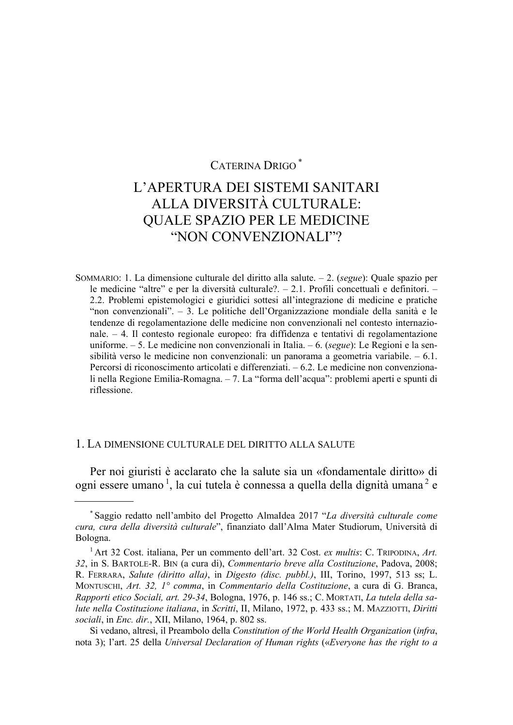# CATERINA DRIGO<sup>\*</sup>

# L'APERTURA DEI SISTEMI SANITARI ALLA DIVERSITÀ CULTURALE: **QUALE SPAZIO PER LE MEDICINE** "NON CONVENZIONALI"?

SOMMARIO: 1. La dimensione culturale del diritto alla salute.  $-2$ . (segue): Quale spazio per le medicine "altre" e per la diversità culturale?. – 2.1. Profili concettuali e definitori. – 2.2. Problemi epistemologici e giuridici sottesi all'integrazione di medicine e pratiche "non convenzionali".  $-3$ . Le politiche dell'Organizzazione mondiale della sanità e le tendenze di regolamentazione delle medicine non convenzionali nel contesto internazionale. - 4. Il contesto regionale europeo: fra diffidenza e tentativi di regolamentazione uniforme.  $-5$ . Le medicine non convenzionali in Italia.  $-6$ . (segue): Le Regioni e la sensibilità verso le medicine non convenzionali: un panorama a geometria variabile.  $-6.1$ . Percorsi di riconoscimento articolati e differenziati.  $-6.2$ . Le medicine non convenzionali nella Regione Emilia-Romagna. - 7. La "forma dell'acqua": problemi aperti e spunti di riflessione.

#### 1. LA DIMENSIONE CULTURALE DEL DIRITTO ALLA SALUTE

Per noi giuristi è acclarato che la salute sia un «fondamentale diritto» di ogni essere umano<sup>1</sup>, la cui tutela è connessa a quella della dignità umana<sup>2</sup> e

<sup>\*</sup> Saggio redatto nell'ambito del Progetto AlmaIdea 2017 "La diversità culturale come cura, cura della diversità culturale", finanziato dall'Alma Mater Studiorum, Università di Bologna.

<sup>&</sup>lt;sup>1</sup> Art 32 Cost. italiana. Per un commento dell'art. 32 Cost. *ex multis*: C. TRIPODINA, Art. 32, in S. BARTOLE-R. BIN (a cura di), Commentario breve alla Costituzione, Padova, 2008; R. FERRARA, Salute (diritto alla), in Digesto (disc. pubbl.), III, Torino, 1997, 513 ss; L. MONTUSCHI, Art. 32, 1° comma, in Commentario della Costituzione, a cura di G. Branca, Rapporti etico Sociali, art. 29-34, Bologna, 1976, p. 146 ss.; C. MORTATI, La tutela della salute nella Costituzione italiana, in Scritti, II, Milano, 1972, p. 433 ss.; M. MAZZIOTTI, Diritti sociali, in Enc. dir., XII, Milano, 1964, p. 802 ss.

Si vedano, altresì, il Preambolo della Constitution of the World Health Organization (infra, nota 3); 1'art. 25 della Universal Declaration of Human rights («Everyone has the right to a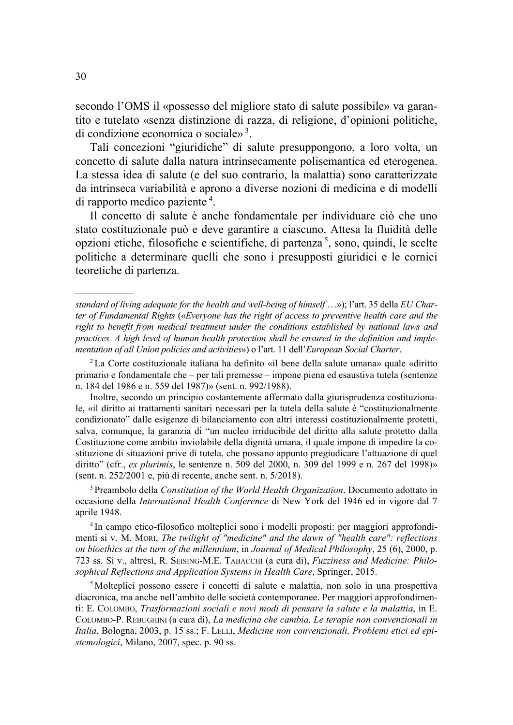secondo l'OMS il «possesso del migliore stato di salute possibile» va garantito e tutelato «senza distinzione di razza, di religione, d'opinioni politiche, di condizione economica o sociale»<sup>3</sup>.

Tali concezioni "giuridiche" di salute presuppongono, a loro volta, un concetto di salute dalla natura intrinsecamente polisemantica ed eterogenea. La stessa idea di salute (e del suo contrario, la malattia) sono caratterizzate da intrinseca variabilità e aprono a diverse nozioni di medicina e di modelli  $\mu$  di rapporto medico paziente<sup>4</sup>.

Il concetto di salute è anche fondamentale per individuare ciò che uno stato costituzionale può e deve garantire a ciascuno. Attesa la fluidità delle opzioni etiche, filosofiche e scientifiche, di partenza<sup>5</sup>, sono, quindi, le scelte politiche a determinare quelli che sono i presupposti giuridici e le cornici teoretiche di partenza.

<sup>3</sup> Preambolo della Constitution of the World Health Organization. Documento adottato in occasione della International Health Conference di New York del 1946 ed in vigore dal 7 aprile 1948.

<sup>4</sup>In campo etico-filosofico molteplici sono i modelli proposti: per maggiori approfondimenti si v. M. MORI, The twilight of "medicine" and the dawn of "health care": reflections on bioethics at the turn of the millennium, in Journal of Medical Philosophy, 25 (6), 2000, p. 723 ss. Si v., altresì, R. SEISING-M.E. TABACCHI (a cura di), Fuzziness and Medicine: Philosophical Reflections and Application Systems in Health Care, Springer, 2015.

<sup>5</sup>Molteplici possono essere i concetti di salute e malattia, non solo in una prospettiva diacronica, ma anche nell'ambito delle società contemporanee. Per maggiori approfondimenti: E. COLOMBO. Trasformazioni sociali e novi modi di pensare la salute e la malattia, in E. COLOMBO-P. REBUGHINI (a cura di), La medicina che cambia. Le terapie non convenzionali in Italia, Bologna, 2003, p. 15 ss.; F. LELLI, Medicine non convenzionali, Problemi etici ed epistemologici, Milano, 2007, spec. p. 90 ss.

standard of living adequate for the health and well-being of himself ...»); l'art. 35 della EU Charter of Fundamental Rights («Everyone has the right of access to preventive health care and the right to benefit from medical treatment under the conditions established by national laws and practices. A high level of human health protection shall be ensured in the definition and implementation of all Union policies and activities») o l'art. 11 dell'European Social Charter.

<sup>&</sup>lt;sup>2</sup> La Corte costituzionale italiana ha definito «il bene della salute umana» quale «diritto primario e fondamentale che – per tali premesse – impone piena ed esaustiva tutela (sentenze n. 184 del 1986 e n. 559 del 1987)» (sent. n. 992/1988).

Inoltre, secondo un principio costantemente affermato dalla giurisprudenza costituzionale, «il diritto ai trattamenti sanitari necessari per la tutela della salute è "costituzionalmente condizionato" dalle esigenze di bilanciamento con altri interessi costituzionalmente protetti, salva, comunque, la garanzia di "un nucleo irriducibile del diritto alla salute protetto dalla Costituzione come ambito inviolabile della dignità umana, il quale impone di impedire la costituzione di situazioni prive di tutela, che possano appunto pregiudicare l'attuazione di quel diritto" (cfr., ex plurimis, le sentenze n. 509 del 2000, n. 309 del 1999 e n. 267 del 1998)» (sent. n. 252/2001 e, più di recente, anche sent. n. 5/2018).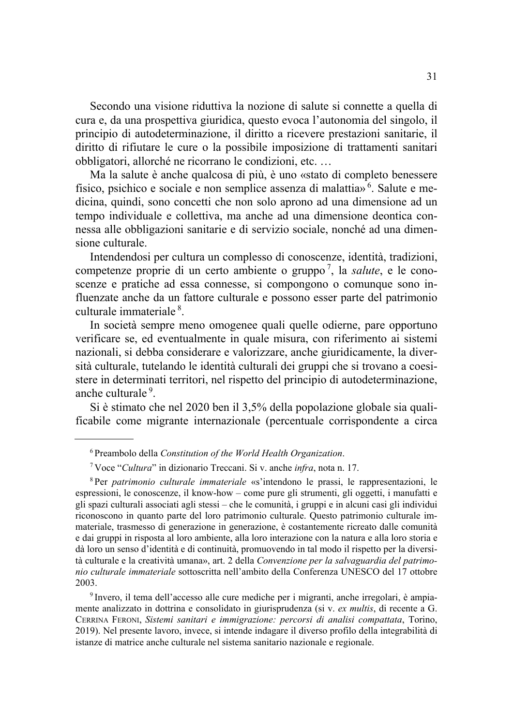Secondo una visione riduttiva la nozione di salute si connette a quella di cura e, da una prospettiva giuridica, questo evoca l'autonomia del singolo, il principio di autodeterminazione, il diritto a ricevere prestazioni sanitarie, il diritto di rifiutare le cure o la possibile imposizione di trattamenti sanitari obbligatori, allorché ne ricorrano le condizioni, etc...

Ma la salute è anche qualcosa di più, è uno «stato di completo benessere físico, psichico e sociale e non semplice assenza di malattia»<sup>6</sup>. Salute e medicina, quindi, sono concetti che non solo aprono ad una dimensione ad un tempo individuale e collettiva, ma anche ad una dimensione deontica connessa alle obbligazioni sanitarie e di servizio sociale, nonché ad una dimensione culturale.

Intendendosi per cultura un complesso di conoscenze, identità, tradizioni, competenze proprie di un certo ambiente o gruppo<sup>7</sup>, la salute, e le conoscenze e pratiche ad essa connesse, si compongono o comunque sono influenzate anche da un fattore culturale e possono esser parte del patrimonio culturale immateriale  $8$ .

In società sempre meno omogenee quali quelle odierne, pare opportuno verificare se, ed eventualmente in quale misura, con riferimento ai sistemi nazionali, si debba considerare e valorizzare, anche giuridicamente, la diversità culturale, tutelando le identità culturali dei gruppi che si trovano a coesistere in determinati territori, nel rispetto del principio di autodeterminazione, anche culturale<sup>9</sup>.

Si è stimato che nel 2020 ben il 3,5% della popolazione globale sia qualificabile come migrante internazionale (percentuale corrispondente a circa

<sup>&</sup>lt;sup>6</sup> Preambolo della Constitution of the World Health Organization.

<sup>&</sup>lt;sup>7</sup>Voce "*Cultura*" in dizionario Treccani. Si v. anche *infra*, nota n. 17.

<sup>&</sup>lt;sup>8</sup>Per *patrimonio culturale immateriale* «s'intendono le prassi, le rappresentazioni, le espressioni, le conoscenze, il know-how - come pure gli strumenti, gli oggetti, i manufatti e gli spazi culturali associati agli stessi – che le comunità, i gruppi e in alcuni casi gli individui riconoscono in quanto parte del loro patrimonio culturale. Questo patrimonio culturale immateriale, trasmesso di generazione in generazione, è costantemente ricreato dalle comunità e dai gruppi in risposta al loro ambiente, alla loro interazione con la natura e alla loro storia e dà loro un senso d'identità e di continuità, promuovendo in tal modo il rispetto per la diversità culturale e la creatività umana», art. 2 della Convenzione per la salvaguardia del patrimonio culturale immateriale sottoscritta nell'ambito della Conferenza UNESCO del 17 ottobre 2003.

<sup>&</sup>lt;sup>9</sup> Invero, il tema dell'accesso alle cure mediche per i migranti, anche irregolari, è ampiamente analizzato in dottrina e consolidato in giurisprudenza (si y. ex multis, di recente a G. CERRINA FERONI, Sistemi sanitari e immigrazione: percorsi di analisi compattata, Torino, 2019). Nel presente lavoro, invece, si intende indagare il diverso profilo della integrabilità di istanze di matrice anche culturale nel sistema sanitario nazionale e regionale.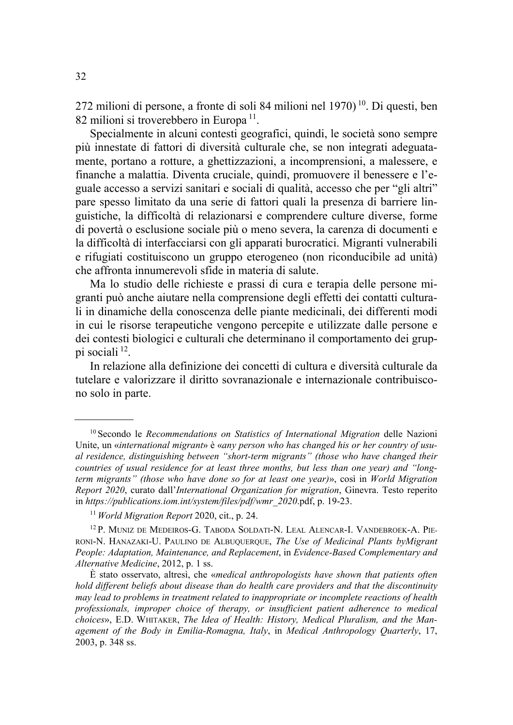272 milioni di persone, a fronte di soli 84 milioni nel 1970)<sup>10</sup>. Di questi, ben 82 milioni si troverebbero in Europa  $^{11}$ .

Specialmente in alcuni contesti geografici, quindi, le società sono sempre più innestate di fattori di diversità culturale che, se non integrati adeguatamente, portano a rotture, a ghettizzazioni, a incomprensioni, a malessere, e finanche a malattia. Diventa cruciale, quindi, promuovere il benessere e l'eguale accesso a servizi sanitari e sociali di qualità, accesso che per "gli altri" pare spesso limitato da una serie di fattori quali la presenza di barriere linguistiche, la difficoltà di relazionarsi e comprendere culture diverse, forme di povertà o esclusione sociale più o meno severa, la carenza di documenti e la difficoltà di interfacciarsi con gli apparati burocratici. Migranti vulnerabili e rifugiati costituiscono un gruppo eterogeneo (non riconducibile ad unità) che affronta innumerevoli sfide in materia di salute.

Ma lo studio delle richieste e prassi di cura e terapia delle persone migranti può anche aiutare nella comprensione degli effetti dei contatti culturali in dinamiche della conoscenza delle piante medicinali, dei differenti modi in cui le risorse terapeutiche vengono percepite e utilizzate dalle persone e dei contesti biologici e culturali che determinano il comportamento dei gruppi sociali  $^{12}$ .

In relazione alla definizione dei concetti di cultura e diversità culturale da tutelare e valorizzare il diritto sovranazionale e internazionale contribuiscono solo in parte.

 $10$  Secondo le *Recommendations on Statistics of International Migration* delle Nazioni Unite, un «international migrant» è «any person who has changed his or her country of usual residence, distinguishing between "short-term migrants" (those who have changed their countries of usual residence for at least three months, but less than one year) and "longterm migrants" (those who have done so for at least one year)», così in World Migration Report 2020, curato dall'International Organization for migration, Ginevra. Testo reperito in https://publications.iom.int/system/files/pdf/wmr 2020.pdf, p. 19-23.

<sup>&</sup>lt;sup>11</sup> World Migration Report 2020, cit., p. 24.

<sup>&</sup>lt;sup>12</sup> P. MUNIZ DE MEDEIROS-G. TABODA SOLDATI-N. LEAL ALENCAR-I. VANDEBROEK-A. PIE-RONI-N. HANAZAKI-U. PAULINO DE ALBUQUERQUE, The Use of Medicinal Plants byMigrant People: Adaptation, Maintenance, and Replacement, in Evidence-Based Complementary and Alternative Medicine, 2012, p. 1 ss.

 $\hat{E}$  stato osservato, altresi, che «medical anthropologists have shown that patients often hold different beliefs about disease than do health care providers and that the discontinuity may lead to problems in treatment related to inappropriate or incomplete reactions of health professionals, improper choice of therapy, or insufficient patient adherence to medical choices», E.D. WHITAKER, The Idea of Health: History, Medical Pluralism, and the Management of the Body in Emilia-Romagna, Italy, in Medical Anthropology Quarterly, 17, 2003, p. 348 ss.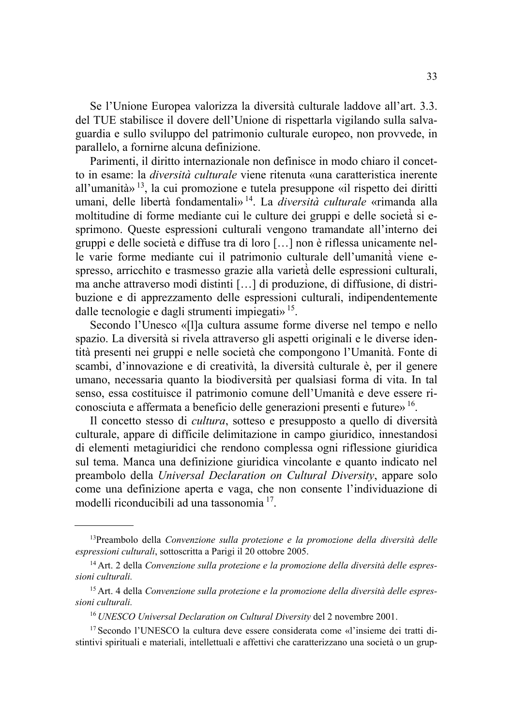Se l'Unione Europea valorizza la diversità culturale laddove all'art. 3.3. del TUE stabilisce il dovere dell'Unione di rispettarla vigilando sulla salvaguardia e sullo sviluppo del patrimonio culturale europeo, non provvede, in parallelo, a fornirne alcuna definizione.

Parimenti, il diritto internazionale non definisce in modo chiaro il concetto in esame: la *diversità culturale* viene ritenuta «una caratteristica inerente all'umanità»<sup>13</sup>, la cui promozione e tutela presuppone «il rispetto dei diritti umani, delle libertà fondamentali»<sup>14</sup>. La diversità culturale «rimanda alla moltitudine di forme mediante cui le culture dei gruppi e delle società si esprimono. Queste espressioni culturali vengono tramandate all'interno dei gruppi e delle società e diffuse tra di loro [...] non è riflessa unicamente nelle varie forme mediante cui il patrimonio culturale dell'umanità viene espresso, arricchito e trasmesso grazie alla varietà delle espressioni culturali, ma anche attraverso modi distinti [...] di produzione, di diffusione, di distribuzione e di apprezzamento delle espressioni culturali, indipendentemente dalle tecnologie e dagli strumenti impiegati $\rho$ <sup>15</sup>.

Secondo l'Unesco «Illa cultura assume forme diverse nel tempo e nello spazio. La diversità si rivela attraverso gli aspetti originali e le diverse identità presenti nei gruppi e nelle società che compongono l'Umanità. Fonte di scambi, d'innovazione e di creatività, la diversità culturale è, per il genere umano, necessaria quanto la biodiversità per qualsiasi forma di vita. In tal senso, essa costituisce il patrimonio comune dell'Umanità e deve essere riconosciuta e affermata a beneficio delle generazioni presenti e future» <sup>16</sup>.

Il concetto stesso di *cultura*, sotteso e presupposto a quello di diversità culturale, appare di difficile delimitazione in campo giuridico, innestandosi di elementi metagiuridici che rendono complessa ogni riflessione giuridica sul tema. Manca una definizione giuridica vincolante e quanto indicato nel preambolo della Universal Declaration on Cultural Diversity, appare solo come una definizione aperta e vaga, che non consente l'individuazione di modelli riconducibili ad una tassonomia<sup>17</sup>.

<sup>&</sup>lt;sup>13</sup>Preambolo della Convenzione sulla protezione e la promozione della diversità delle espressioni culturali, sottoscritta a Parigi il 20 ottobre 2005.

<sup>&</sup>lt;sup>14</sup> Art. 2 della Convenzione sulla protezione e la promozione della diversità delle espressioni culturali.

<sup>&</sup>lt;sup>15</sup> Art. 4 della Convenzione sulla protezione e la promozione della diversità delle espressioni culturali.

<sup>&</sup>lt;sup>16</sup> UNESCO Universal Declaration on Cultural Diversity del 2 novembre 2001.

<sup>&</sup>lt;sup>17</sup> Secondo l'UNESCO la cultura deve essere considerata come «l'insieme dei tratti distintivi spirituali e materiali, intellettuali e affettivi che caratterizzano una società o un grup-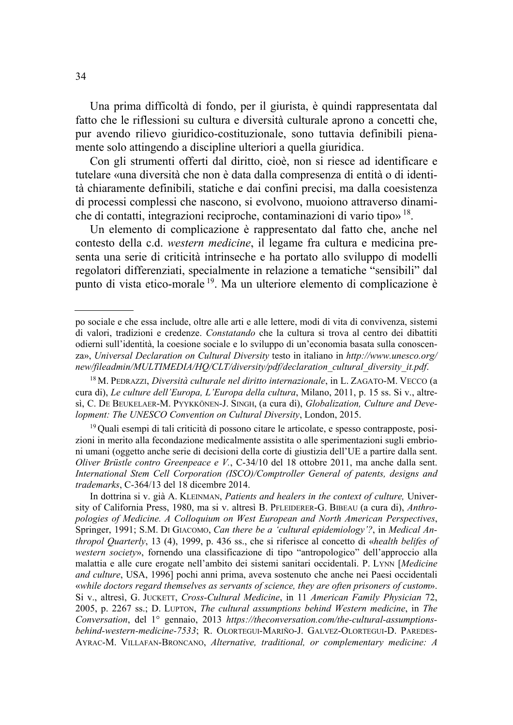Una prima difficoltà di fondo, per il giurista, è quindi rappresentata dal fatto che le riflessioni su cultura e diversità culturale aprono a concetti che, pur avendo rilievo giuridico-costituzionale, sono tuttavia definibili pienamente solo attingendo a discipline ulteriori a quella giuridica.

Con gli strumenti offerti dal diritto, cioè, non si riesce ad identificare e tutelare «una diversità che non è data dalla compresenza di entità o di identità chiaramente definibili, statiche e dai confini precisi, ma dalla coesistenza di processi complessi che nascono, si evolvono, muoiono attraverso dinamiche di contatti, integrazioni reciproche, contaminazioni di vario tipo»<sup>18</sup>.

Un elemento di complicazione è rappresentato dal fatto che, anche nel contesto della c.d. *western medicine*, il legame fra cultura e medicina presenta una serie di criticità intrinseche e ha portato allo sviluppo di modelli regolatori differenziati, specialmente in relazione a tematiche "sensibili" dal punto di vista etico-morale<sup>19</sup>. Ma un ulteriore elemento di complicazione è

<sup>19</sup> Quali esempi di tali criticità di possono citare le articolate, e spesso contrapposte, posizioni in merito alla fecondazione medicalmente assistita o alle sperimentazioni sugli embrioni umani (oggetto anche serie di decisioni della corte di giustizia dell'UE a partire dalla sent. Oliver Brüstle contro Greenpeace e V., C-34/10 del 18 ottobre 2011, ma anche dalla sent. International Stem Cell Corporation (ISCO)/Comptroller General of patents, designs and trademarks, C-364/13 del 18 dicembre 2014.

In dottrina si v. già A. KLEINMAN, Patients and healers in the context of culture, University of California Press, 1980, ma si v. altresì B. PFLEIDERER-G. BIBEAU (a cura di), Anthropologies of Medicine. A Colloquium on West European and North American Perspectives, Springer, 1991; S.M. DI GIACOMO, Can there be a 'cultural epidemiology'?, in Medical Anthropol Quarterly, 13 (4), 1999, p. 436 ss., che si riferisce al concetto di «health belifes of western society», fornendo una classificazione di tipo "antropologico" dell'approccio alla malattia e alle cure erogate nell'ambito dei sistemi sanitari occidentali. P. LYNN [Medicine] and culture, USA, 1996] pochi anni prima, aveva sostenuto che anche nei Paesi occidentali «while doctors regard themselves as servants of science, they are often prisoners of custom». Si v., altresì, G. JUCKETT, Cross-Cultural Medicine, in 11 American Family Physician 72, 2005, p. 2267 ss.; D. LUPTON, The cultural assumptions behind Western medicine, in The Conversation, del 1° gennaio, 2013 https://theconversation.com/the-cultural-assumptionsbehind-western-medicine-7533; R. OLORTEGUI-MARIÑO-J. GALVEZ-OLORTEGUI-D. PAREDES-AYRAC-M. VILLAFAN-BRONCANO, Alternative, traditional, or complementary medicine: A

po sociale e che essa include, oltre alle arti e alle lettere, modi di vita di convivenza, sistemi di valori, tradizioni e credenze. Constatando che la cultura si trova al centro dei dibattiti odierni sull'identità, la coesione sociale e lo sviluppo di un'economia basata sulla conoscenza», Universal Declaration on Cultural Diversity testo in italiano in http://www.unesco.org/ new/fileadmin/MULTIMEDIA/HQ/CLT/diversity/pdf/declaration cultural diversity it.pdf.

<sup>&</sup>lt;sup>18</sup> M. PEDRAZZI, Diversità culturale nel diritto internazionale, in L. ZAGATO-M. VECCO (a cura di), Le culture dell'Europa, L'Europa della cultura, Milano, 2011, p. 15 ss. Si v., altresì, C. DE BEUKELAER-M. PYYKKÖNEN-J. SINGH, (a cura di), Globalization, Culture and Development: The UNESCO Convention on Cultural Diversity, London, 2015.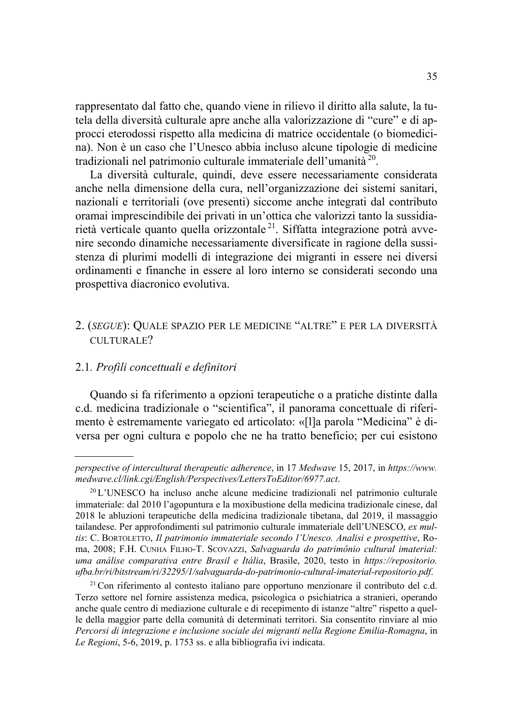rappresentato dal fatto che, quando viene in rilievo il diritto alla salute, la tutela della diversità culturale apre anche alla valorizzazione di "cure" e di approcci eterodossi rispetto alla medicina di matrice occidentale (o biomedicina). Non è un caso che l'Unesco abbia incluso alcune tipologie di medicine tradizionali nel patrimonio culturale immateriale dell'umanità<sup>20</sup>.

La diversità culturale, quindi, deve essere necessariamente considerata anche nella dimensione della cura, nell'organizzazione dei sistemi sanitari, nazionali e territoriali (ove presenti) siccome anche integrati dal contributo oramai imprescindibile dei privati in un'ottica che valorizzi tanto la sussidiarietà verticale quanto quella orizzontale<sup>21</sup>. Siffatta integrazione potrà avvenire secondo dinamiche necessariamente diversificate in ragione della sussistenza di plurimi modelli di integrazione dei migranti in essere nei diversi ordinamenti e finanche in essere al loro interno se considerati secondo una prospettiva diacronico evolutiva.

# 2. (SEGUE): QUALE SPAZIO PER LE MEDICINE "ALTRE" E PER LA DIVERSITÀ CULTURALE?

### 2.1. Profili concettuali e definitori

Quando si fa riferimento a opzioni terapeutiche o a pratiche distinte dalla c.d. medicina tradizionale o "scientifica", il panorama concettuale di riferimento è estremamente variegato ed articolato: «[1]a parola "Medicina" è diversa per ogni cultura e popolo che ne ha tratto beneficio; per cui esistono

perspective of intercultural therapeutic adherence, in 17 Medwave 15, 2017, in https://www. medwave.cl/link.cgi/English/Perspectives/LettersToEditor/6977.act.

<sup>&</sup>lt;sup>20</sup> L'UNESCO ha incluso anche alcune medicine tradizionali nel patrimonio culturale immateriale: dal 2010 l'agopuntura e la moxibustione della medicina tradizionale cinese, dal 2018 le abluzioni terapeutiche della medicina tradizionale tibetana, dal 2019, il massaggio tailandese. Per approfondimenti sul patrimonio culturale immateriale dell'UNESCO, ex multis: C. BORTOLETTO, Il patrimonio immateriale secondo l'Unesco. Analisi e prospettive, Roma, 2008; F.H. CUNHA FILHO-T. SCOVAZZI, Salvaguarda do patrimônio cultural imaterial: uma análise comparativa entre Brasil e Itália, Brasile, 2020, testo in https://repositorio. ufba.br/ri/bitstream/ri/32295/1/salvaguarda-do-patrimonio-cultural-imaterial-repositorio.pdf.

<sup>&</sup>lt;sup>21</sup> Con riferimento al contesto italiano pare opportuno menzionare il contributo del c.d. Terzo settore nel fornire assistenza medica, psicologica o psichiatrica a stranieri, operando anche quale centro di mediazione culturale e di recepimento di istanze "altre" rispetto a quelle della maggior parte della comunità di determinati territori. Sia consentito rinviare al mio Percorsi di integrazione e inclusione sociale dei migranti nella Regione Emilia-Romagna, in Le Regioni, 5-6, 2019, p. 1753 ss. e alla bibliografia ivi indicata.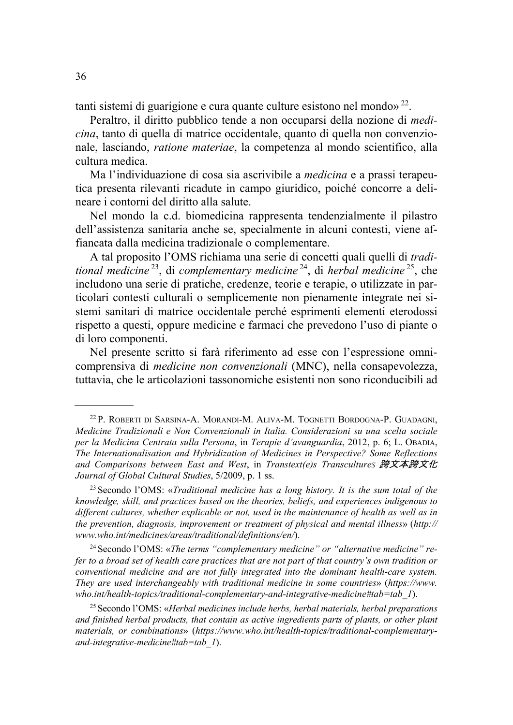tanti sistemi di guarigione e cura quante culture esistono nel mondo»  $^{22}$ .

Peraltro, il diritto pubblico tende a non occuparsi della nozione di *medi*cina, tanto di quella di matrice occidentale, quanto di quella non convenzionale, lasciando, *ratione materiae*, la competenza al mondo scientifico, alla cultura medica.

Ma l'individuazione di cosa sia ascrivibile a *medicina* e a prassi terapeutica presenta rilevanti ricadute in campo giuridico, poiché concorre a delineare i contorni del diritto alla salute.

Nel mondo la c.d. biomedicina rappresenta tendenzialmente il pilastro dell'assistenza sanitaria anche se, specialmente in alcuni contesti, viene affiancata dalla medicina tradizionale o complementare.

A tal proposito l'OMS richiama una serie di concetti quali quelli di *tradi*tional medicine<sup>23</sup>, di complementary medicine<sup>24</sup>, di herbal medicine<sup>25</sup>, che includono una serie di pratiche, credenze, teorie e terapie, o utilizzate in particolari contesti culturali o semplicemente non pienamente integrate nei sistemi sanitari di matrice occidentale perché esprimenti elementi eterodossi rispetto a questi, oppure medicine e farmaci che prevedono l'uso di piante o di loro componenti.

Nel presente scritto si farà riferimento ad esse con l'espressione omnicomprensiva di *medicine non convenzionali* (MNC), nella consapevolezza, tuttavia, che le articolazioni tassonomiche esistenti non sono riconducibili ad

<sup>24</sup> Secondo l'OMS: «The terms "complementary medicine" or "alternative medicine" refer to a broad set of health care practices that are not part of that country's own tradition or conventional medicine and are not fully integrated into the dominant health-care system. They are used interchangeably with traditional medicine in some countries» (https://www. who.int/health-topics/traditional-complementary-and-integrative-medicine#tab=tab  $1$ ).

<sup>&</sup>lt;sup>22</sup> P. ROBERTI DI SARSINA-A. MORANDI-M. ALIVA-M. TOGNETTI BORDOGNA-P. GUADAGNI, Medicine Tradizionali e Non Convenzionali in Italia. Considerazioni su una scelta sociale per la Medicina Centrata sulla Persona, in Terapie d'avanguardia, 2012, p. 6; L. OBADIA, The Internationalisation and Hybridization of Medicines in Perspective? Some Reflections and Comparisons between East and West, in Transtext(e)s Transcultures 跨文本跨文化 Journal of Global Cultural Studies, 5/2009, p. 1 ss.

<sup>&</sup>lt;sup>23</sup> Secondo l'OMS: «*Traditional medicine has a long history*. *It is the sum total of the* knowledge, skill, and practices based on the theories, beliefs, and experiences indigenous to different cultures, whether explicable or not, used in the maintenance of health as well as in the prevention, diagnosis, improvement or treatment of physical and mental illness» (http:// www.who.int/medicines/areas/traditional/definitions/en/).

<sup>&</sup>lt;sup>25</sup> Secondo l'OMS: «Herbal medicines include herbs, herbal materials, herbal preparations and finished herbal products, that contain as active ingredients parts of plants, or other plant materials, or combinations» (https://www.who.int/health-topics/traditional-complementaryand-integrative-medicine# $tab = tab$  1).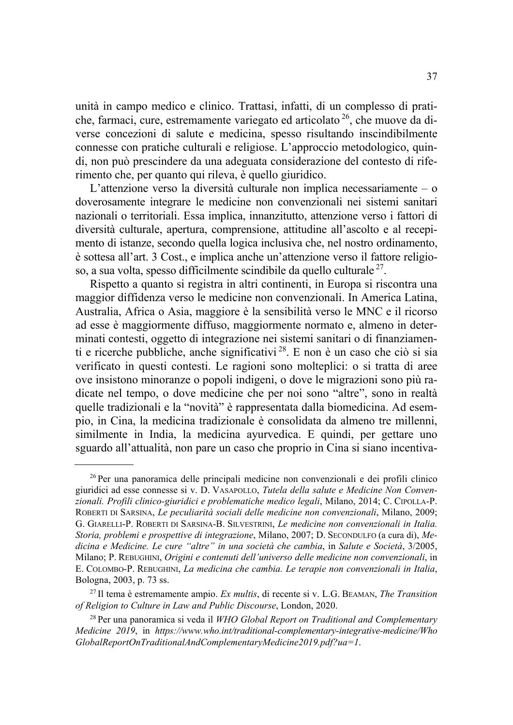unità in campo medico e clinico. Trattasi, infatti, di un complesso di pratiche, farmaci, cure, estremamente variegato ed articolato<sup>26</sup>, che muove da diverse concezioni di salute e medicina, spesso risultando inscindibilmente connesse con pratiche culturali e religiose. L'approccio metodologico, quindi, non può prescindere da una adeguata considerazione del contesto di riferimento che, per quanto qui rileva, è quello giuridico.

L'attenzione verso la diversità culturale non implica necessariamente  $-$  o doverosamente integrare le medicine non convenzionali nei sistemi sanitari nazionali o territoriali. Essa implica, innanzitutto, attenzione verso i fattori di diversità culturale, apertura, comprensione, attitudine all'ascolto e al recepimento di istanze, secondo quella logica inclusiva che, nel nostro ordinamento, è sottesa all'art. 3 Cost., e implica anche un'attenzione verso il fattore religioso, a sua volta, spesso difficilmente scindibile da quello culturale  $27$ .

Rispetto a quanto si registra in altri continenti, in Europa si riscontra una maggior diffidenza verso le medicine non convenzionali. In America Latina, Australia, Africa o Asia, maggiore è la sensibilità verso le MNC e il ricorso ad esse è maggiormente diffuso, maggiormente normato e, almeno in determinati contesti, oggetto di integrazione nei sistemi sanitari o di finanziamenti e ricerche pubbliche, anche significativi<sup>28</sup>. E non è un caso che ciò si sia verificato in questi contesti. Le ragioni sono molteplici: o si tratta di aree ove insistono minoranze o popoli indigeni, o dove le migrazioni sono più radicate nel tempo, o dove medicine che per noi sono "altre", sono in realtà quelle tradizionali e la "novità" è rappresentata dalla biomedicina. Ad esempio, in Cina, la medicina tradizionale è consolidata da almeno tre millenni, similmente in India, la medicina ayurvedica. E quindi, per gettare uno sguardo all'attualità, non pare un caso che proprio in Cina si siano incentiva-

<sup>&</sup>lt;sup>26</sup> Per una panoramica delle principali medicine non convenzionali e dei profili clinico giuridici ad esse connesse si v. D. VASAPOLLO, Tutela della salute e Medicine Non Convenzionali. Profili clinico-giuridici e problematiche medico legali, Milano, 2014; C. CIPOLLA-P. ROBERTI DI SARSINA, Le peculiarità sociali delle medicine non convenzionali, Milano, 2009; G. GIARELLI-P. ROBERTI DI SARSINA-B. SILVESTRINI, Le medicine non convenzionali in Italia. Storia, problemi e prospettive di integrazione, Milano, 2007; D. SECONDULFO (a cura di), Medicina e Medicine. Le cure "altre" in una società che cambia, in Salute e Società, 3/2005, Milano; P. REBUGHINI, Origini e contenuti dell'universo delle medicine non convenzionali, in E. COLOMBO-P. REBUGHINI, La medicina che cambia. Le terapie non convenzionali in Italia, Bologna, 2003, p. 73 ss.

<sup>&</sup>lt;sup>27</sup>Il tema è estremamente ampio. Ex multis, di recente si v. L.G. BEAMAN, The Transition of Religion to Culture in Law and Public Discourse, London, 2020.

 $^{28}$  Per una panoramica si veda il WHO Global Report on Traditional and Complementary Medicine 2019, in https://www.who.int/traditional-complementary-integrative-medicine/Who  $GlobalReportOn Traditional And Complementary Medicine 2019.pdf?ua=1.$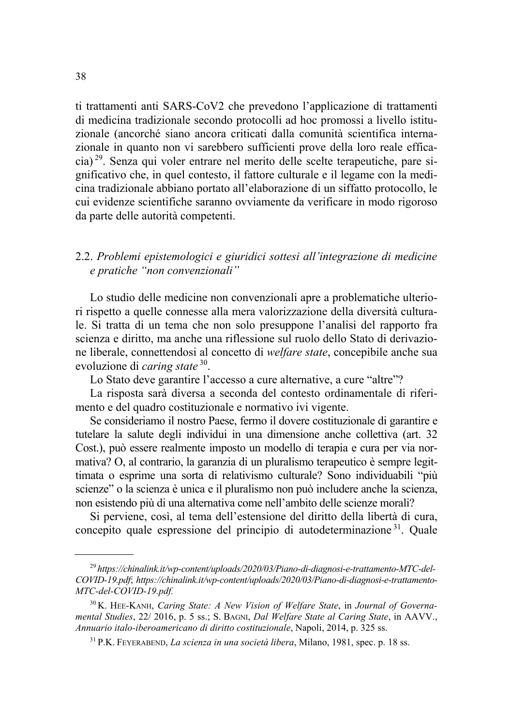ti trattamenti anti SARS-CoV2 che prevedono l'applicazione di trattamenti di medicina tradizionale secondo protocolli ad hoc promossi a livello istituzionale (ancorché siano ancora criticati dalla comunità scientifica internazionale in quanto non vi sarebbero sufficienti prove della loro reale efficacia)<sup>29</sup>. Senza qui voler entrare nel merito delle scelte terapeutiche, pare significativo che, in quel contesto, il fattore culturale e il legame con la medicina tradizionale abbiano portato all'elaborazione di un siffatto protocollo, le cui evidenze scientifiche saranno ovviamente da verificare in modo rigoroso da parte delle autorità competenti.

# *Problemi epistemologici e giuridici sottesi all'integrazione di medicine e pratiche "non convenzionali"*

Lo studio delle medicine non convenzionali apre a problematiche ulteriori rispetto a quelle connesse alla mera valorizzazione della diversità culturale. Si tratta di un tema che non solo presuppone l'analisi del rapporto fra scienza e diritto, ma anche una riflessione sul ruolo dello Stato di derivazione liberale, connettendosi al concetto di *welfare state*, concepibile anche sua evoluzione di *caring state*<sup>30</sup>.

Lo Stato deve garantire l'accesso a cure alternative, a cure "altre"?

La risposta sarà diversa a seconda del contesto ordinamentale di riferimento e del quadro costituzionale e normativo ivi vigente.

Se consideriamo il nostro Paese, fermo il dovere costituzionale di garantire e tutelare la salute degli individui in una dimensione anche collettiva (art. 32) Cost.), può essere realmente imposto un modello di terapia e cura per via normativa? O, al contrario, la garanzia di un pluralismo terapeutico è sempre legittimata o esprime una sorta di relativismo culturale? Sono individuabili "più scienze" o la scienza è unica e il pluralismo non può includere anche la scienza, non esistendo più di una alternativa come nell'ambito delle scienze morali?

Si perviene, così, al tema dell'estensione del diritto della libertà di cura, concepito quale espressione del principio di autodeterminazione<sup>31</sup>. Quale

<sup>&</sup>lt;sup>29</sup> https://chinalink.it/wp-content/uploads/2020/03/Piano-di-diagnosi-e-trattamento-MTC-del-*COVID-19.pdfhttps://chinalink.it/wp-content/uploads/2020/03/Piano-di-diagnosi-e-trattamento-MTC-del-COVID-19.pdf.*

<sup>&</sup>lt;sup>30</sup> K. HEE-KANH, Caring State: A New Vision of Welfare State, in Journal of Governa*mental Studies*, 22/ 2016, p. 5 ss.; S. BAGNI, *Dal Welfare State al Caring State*, in AAVV., *Annuario italo-iberoamericano di diritto costituzionale*, Napoli, 2014, p. 325 ss.

<sup>&</sup>lt;sup>31</sup> P.K. FEYERABEND, *La scienza in una società libera*, Milano, 1981, spec. p. 18 ss.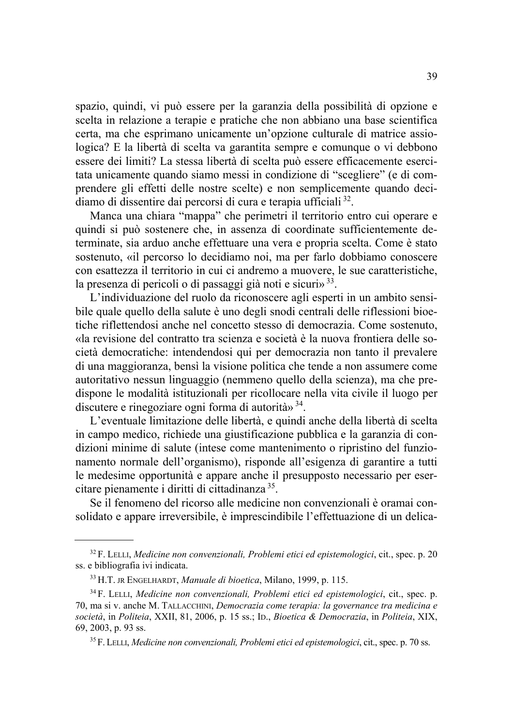spazio, quindi, vi può essere per la garanzia della possibilità di opzione e scelta in relazione a terapie e pratiche che non abbiano una base scientifica certa, ma che esprimano unicamente un'opzione culturale di matrice assiologica? E la libertà di scelta va garantita sempre e comunque o vi debbono essere dei limiti? La stessa libertà di scelta può essere efficacemente esercitata unicamente quando siamo messi in condizione di "scegliere" (e di comprendere gli effetti delle nostre scelte) e non semplicemente quando decidiamo di dissentire dai percorsi di cura e terapia ufficiali<sup>32</sup>.

Manca una chiara "mappa" che perimetri il territorio entro cui operare e quindi si può sostenere che, in assenza di coordinate sufficientemente determinate, sia arduo anche effettuare una vera e propria scelta. Come è stato sostenuto, «il percorso lo decidiamo noi, ma per farlo dobbiamo conoscere con esattezza il territorio in cui ci andremo a muovere, le sue caratteristiche, la presenza di pericoli o di passaggi già noti e sicuri»<sup>33</sup>.

L'individuazione del ruolo da riconoscere agli esperti in un ambito sensibile quale quello della salute è uno degli snodi centrali delle riflessioni bioetiche riflettendosi anche nel concetto stesso di democrazia. Come sostenuto, «la revisione del contratto tra scienza e società è la nuova frontiera delle società democratiche: intendendosi qui per democrazia non tanto il prevalere di una maggioranza, bensì la visione politica che tende a non assumere come autoritativo nessun linguaggio (nemmeno quello della scienza), ma che predispone le modalità istituzionali per ricollocare nella vita civile il luogo per discutere e rinegoziare ogni forma di autorità» 34.

L'eventuale limitazione delle libertà, e quindi anche della libertà di scelta in campo medico, richiede una giustificazione pubblica e la garanzia di condizioni minime di salute (intese come mantenimento o ripristino del funzionamento normale dell'organismo), risponde all'esigenza di garantire a tutti le medesime opportunità e appare anche il presupposto necessario per esercitare pienamente i diritti di cittadinanza<sup>35</sup>.

Se il fenomeno del ricorso alle medicine non convenzionali è oramai consolidato e appare irreversibile, è imprescindibile l'effettuazione di un delica-

<sup>&</sup>lt;sup>32</sup> F. LELLI, Medicine non convenzionali, Problemi etici ed epistemologici, cit., spec. p. 20 ss. e bibliografia ivi indicata.

<sup>&</sup>lt;sup>33</sup> H.T. JR ENGELHARDT, *Manuale di bioetica*, Milano, 1999, p. 115.

<sup>&</sup>lt;sup>34</sup> F. LELLI, *Medicine non convenzionali*, *Problemi etici ed epistemologici*, cit., spec. p. 70, ma si v. anche M. TALLACCHINI, Democrazia come terapia: la governance tra medicina e società, in Politeia, XXII, 81, 2006, p. 15 ss.; ID., Bioetica & Democrazia, in Politeia, XIX, 69, 2003, p. 93 ss.

<sup>&</sup>lt;sup>35</sup> F. LELLI, *Medicine non convenzionali, Problemi etici ed epistemologici*, cit., spec. p. 70 ss.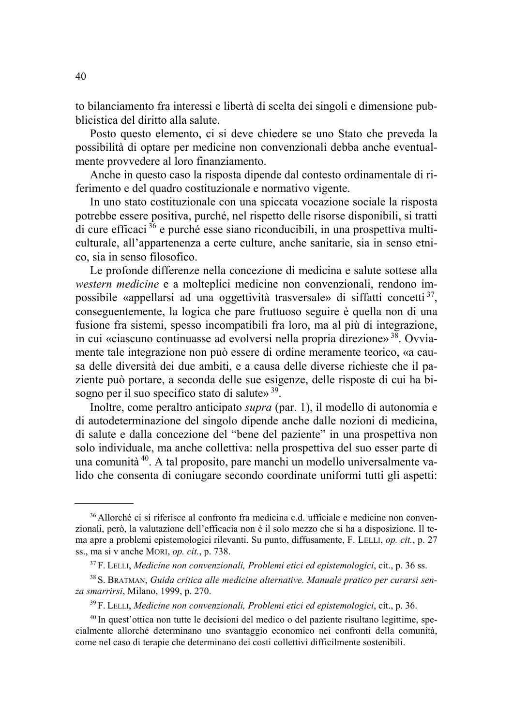to bilanciamento fra interessi e libertà di scelta dei singoli e dimensione pubblicistica del diritto alla salute.

Posto questo elemento, ci si deve chiedere se uno Stato che preveda la possibilità di optare per medicine non convenzionali debba anche eventualmente provvedere al loro finanziamento.

Anche in questo caso la risposta dipende dal contesto ordinamentale di riferimento e del quadro costituzionale e normativo vigente.

In uno stato costituzionale con una spiccata vocazione sociale la risposta potrebbe essere positiva, purché, nel rispetto delle risorse disponibili, si tratti di cure efficaci<sup>36</sup> e purché esse siano riconducibili, in una prospettiva multiculturale, all'appartenenza a certe culture, anche sanitarie, sia in senso etnico, sia in senso filosofico.

Le profonde differenze nella concezione di medicina e salute sottese alla western medicine e a molteplici medicine non convenzionali, rendono impossibile «appellarsi ad una oggettività trasversale» di siffatti concetti<sup>37</sup>, conseguentemente, la logica che pare fruttuoso seguire è quella non di una fusione fra sistemi, spesso incompatibili fra loro, ma al più di integrazione. in cui «ciascuno continuasse ad evolversi nella propria direzione» 38. Ovviamente tale integrazione non può essere di ordine meramente teorico, «a causa delle diversità dei due ambiti, e a causa delle diverse richieste che il paziente può portare, a seconda delle sue esigenze, delle risposte di cui ha bisogno per il suo specifico stato di salute»  $39$ .

Inoltre, come peraltro anticipato *supra* (par. 1), il modello di autonomia e di autodeterminazione del singolo dipende anche dalle nozioni di medicina, di salute e dalla concezione del "bene del paziente" in una prospettiva non solo individuale, ma anche collettiva: nella prospettiva del suo esser parte di una comunità<sup>40</sup>. A tal proposito, pare manchi un modello universalmente valido che consenta di coniugare secondo coordinate uniformi tutti gli aspetti:

<sup>&</sup>lt;sup>36</sup> Allorché ci si riferisce al confronto fra medicina c.d. ufficiale e medicine non convenzionali, però, la valutazione dell'efficacia non è il solo mezzo che si ha a disposizione. Il tema apre a problemi epistemologici rilevanti. Su punto, diffusamente, F. LELLI, op. cit., p. 27 ss., ma si v anche MORI, op. cit., p. 738.

<sup>&</sup>lt;sup>37</sup> F. LELLI, *Medicine non convenzionali*, *Problemi etici ed epistemologici*, cit., p. 36 ss.

<sup>&</sup>lt;sup>38</sup> S. BRATMAN, *Guida critica alle medicine alternative*. *Manuale pratico per curarsi sen*za smarrirsi, Milano, 1999, p. 270.

<sup>&</sup>lt;sup>39</sup> F. LELLI, Medicine non convenzionali, Problemi etici ed epistemologici, cit., p. 36.

<sup>&</sup>lt;sup>40</sup> In quest'ottica non tutte le decisioni del medico o del paziente risultano legittime, specialmente allorché determinano uno svantaggio economico nei confronti della comunità, come nel caso di terapie che determinano dei costi collettivi difficilmente sostenibili.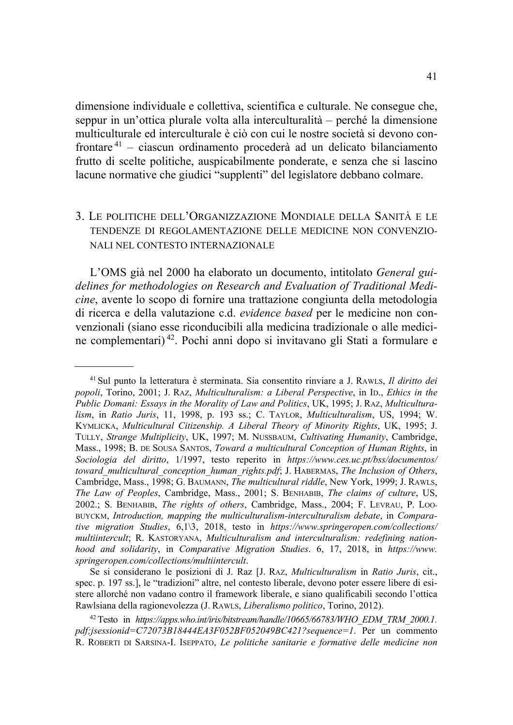dimensione individuale e collettiva, scientifica e culturale. Ne consegue che, seppur in un'ottica plurale volta alla interculturalità – perché la dimensione multiculturale ed interculturale è ciò con cui le nostre società si devono confrontare<sup>41</sup> – ciascun ordinamento procederà ad un delicato bilanciamento frutto di scelte politiche, auspicabilmente ponderate, e senza che si lascino lacune normative che giudici "supplenti" del legislatore debbano colmare.

# 3. LE POLITICHE DELL'ORGANIZZAZIONE MONDIALE DELLA SANITÀ E LE TENDENZE DI REGOLAMENTAZIONE DELLE MEDICINE NON CONVENZIO-NALI NEL CONTESTO INTERNAZIONALE

L'OMS già nel 2000 ha elaborato un documento, intitolato General guidelines for methodologies on Research and Evaluation of Traditional Medicine, avente lo scopo di fornire una trattazione congiunta della metodologia di ricerca e della valutazione c.d. evidence based per le medicine non convenzionali (siano esse riconducibili alla medicina tradizionale o alle medicine complementari)<sup>42</sup>. Pochi anni dopo si invitavano gli Stati a formulare e

Se si considerano le posizioni di J. Raz [J. RAZ, Multiculturalism in Ratio Juris, cit., spec. p. 197 ss.], le "tradizioni" altre, nel contesto liberale, devono poter essere libere di esistere allorché non vadano contro il framework liberale, e siano qualificabili secondo l'ottica Rawlsiana della ragionevolezza (J. RAWLS, Liberalismo politico, Torino, 2012).

<sup>&</sup>lt;sup>41</sup> Sul punto la letteratura è sterminata. Sia consentito rinviare a J. RAWLS, Il diritto dei popoli, Torino, 2001; J. RAZ, Multiculturalism: a Liberal Perspective, in ID., Ethics in the Public Domani: Essays in the Morality of Law and Politics, UK, 1995; J. RAZ, Multiculturalism, in Ratio Juris, 11, 1998, p. 193 ss.; C. TAYLOR, Multiculturalism, US, 1994; W. KYMLICKA, Multicultural Citizenship. A Liberal Theory of Minority Rights, UK, 1995; J. TULLY, Strange Multiplicity, UK, 1997; M. NUSSBAUM, Cultivating Humanity, Cambridge, Mass., 1998; B. DE SOUSA SANTOS, *Toward a multicultural Conception of Human Rights*, in Sociologia del diritto, 1/1997, testo reperito in https://www.ces.uc.pt/bss/documentos/ toward multicultural conception human rights.pdf; J. HABERMAS, The Inclusion of Others, Cambridge, Mass., 1998; G. BAUMANN, The multicultural riddle, New York, 1999; J. RAWLS, The Law of Peoples, Cambridge, Mass., 2001; S. BENHABIB, The claims of culture, US, 2002.; S. BENHABIB, The rights of others, Cambridge, Mass., 2004; F. LEVRAU, P. LOO-BUYCKM, Introduction, mapping the multiculturalism-interculturalism debate, in Comparative migration Studies, 6,1\3, 2018, testo in https://www.springeropen.com/collections/ multiintercult; R. KASTORYANA, Multiculturalism and interculturalism: redefining nationhood and solidarity, in Comparative Migration Studies. 6, 17, 2018, in https://www. springeropen.com/collections/multiintercult.

<sup>&</sup>lt;sup>42</sup> Testo in https://apps.who.int/iris/bitstream/handle/10665/66783/WHO EDM TRM 2000.1. pdf:jsessionid=C72073B18444EA3F052BF052049BC421?sequence=1. Per un commento R. ROBERTI DI SARSINA-I. ISEPPATO, Le politiche sanitarie e formative delle medicine non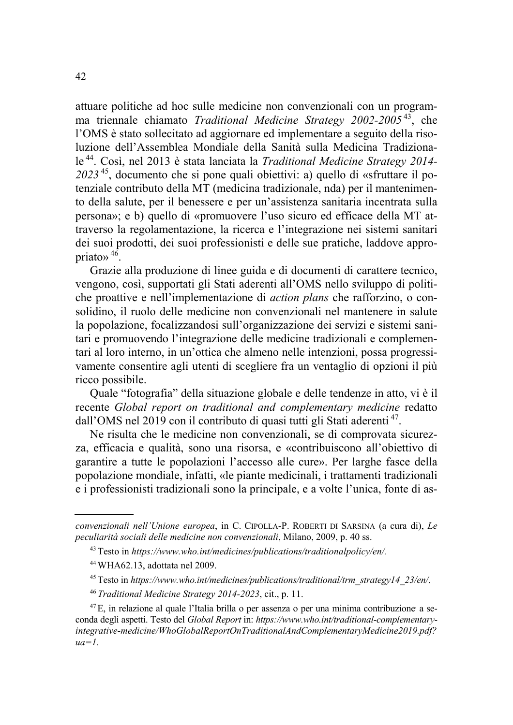attuare politiche ad hoc sulle medicine non convenzionali con un programma triennale chiamato *Traditional Medicine Strategy 2002-2005*<sup>43</sup>, che l'OMS è stato sollecitato ad aggiornare ed implementare a seguito della risoluzione dell'Assemblea Mondiale della Sanità sulla Medicina Tradizionale<sup>44</sup>. Così, nel 2013 è stata lanciata la Traditional Medicine Strategy 2014-2023<sup>45</sup>, documento che si pone quali obiettivi: a) quello di «sfruttare il potenziale contributo della MT (medicina tradizionale, nda) per il mantenimento della salute, per il benessere e per un'assistenza sanitaria incentrata sulla persona»; e b) quello di «promuovere l'uso sicuro ed efficace della MT attraverso la regolamentazione, la ricerca e l'integrazione nei sistemi sanitari dei suoi prodotti, dei suoi professionisti e delle sue pratiche, laddove appropriato»  $46$ .

Grazie alla produzione di linee guida e di documenti di carattere tecnico, vengono, così, supportati gli Stati aderenti all'OMS nello sviluppo di politiche proattive e nell'implementazione di *action plans* che rafforzino, o consolidino, il ruolo delle medicine non convenzionali nel mantenere in salute la popolazione, focalizzandosi sull'organizzazione dei servizi e sistemi sanitari e promuovendo l'integrazione delle medicine tradizionali e complementari al loro interno, in un'ottica che almeno nelle intenzioni, possa progressivamente consentire agli utenti di scegliere fra un ventaglio di opzioni il più ricco possibile.

Ouale "fotografia" della situazione globale e delle tendenze in atto, vi è il recente Global report on traditional and complementary medicine redatto dall'OMS nel 2019 con il contributo di quasi tutti gli Stati aderenti<sup>47</sup>.

Ne risulta che le medicine non convenzionali, se di comprovata sicurezza, efficacia e qualità, sono una risorsa, e «contribuiscono all'obiettivo di garantire a tutte le popolazioni l'accesso alle cure». Per larghe fasce della popolazione mondiale, infatti, «le piante medicinali, i trattamenti tradizionali e i professionisti tradizionali sono la principale, e a volte l'unica, fonte di as-

convenzionali nell'Unione europea, in C. CIPOLLA-P. ROBERTI DI SARSINA (a cura di), Le peculiarità sociali delle medicine non convenzionali, Milano, 2009, p. 40 ss.

<sup>&</sup>lt;sup>43</sup> Testo in https://www.who.int/medicines/publications/traditionalpolicy/en/.

<sup>&</sup>lt;sup>44</sup> WHA62.13, adottata nel 2009.

<sup>&</sup>lt;sup>45</sup> Testo in https://www.who.int/medicines/publications/traditional/trm\_strategy14\_23/en/.

<sup>&</sup>lt;sup>46</sup> Traditional Medicine Strategy 2014-2023, cit., p. 11.

<sup>&</sup>lt;sup>47</sup>E, in relazione al quale l'Italia brilla o per assenza o per una minima contribuzione a seconda degli aspetti. Testo del Global Report in: https://www.who.int/traditional-complementaryintegrative-medicine/WhoGlobalReportOnTraditionalAndComplementaryMedicine2019.pdf?  $ua=1$ .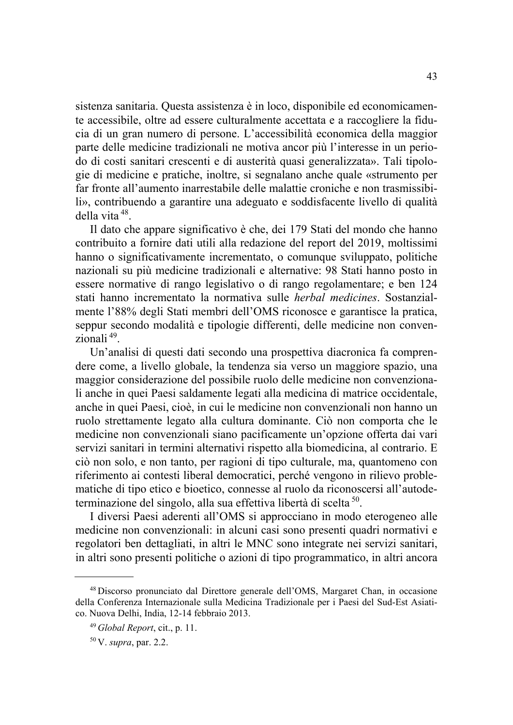sistenza sanitaria. Questa assistenza è in loco, disponibile ed economicamente accessibile, oltre ad essere culturalmente accettata e a raccogliere la fiducia di un gran numero di persone. L'accessibilità economica della maggior parte delle medicine tradizionali ne motiva ancor più l'interesse in un periodo di costi sanitari crescenti e di austerità quasi generalizzata». Tali tipologie di medicine e pratiche, inoltre, si segnalano anche quale «strumento per far fronte all'aumento inarrestabile delle malattie croniche e non trasmissibili», contribuendo a garantire una adeguato e soddisfacente livello di qualità della vita  $48$ .

Il dato che appare significativo è che, dei 179 Stati del mondo che hanno contribuito a fornire dati utili alla redazione del report del 2019, moltissimi hanno o significativamente incrementato, o comunque sviluppato, politiche nazionali su più medicine tradizionali e alternative: 98 Stati hanno posto in essere normative di rango legislativo o di rango regolamentare; e ben 124 stati hanno incrementato la normativa sulle *herbal medicines*. Sostanzialmente l'88% degli Stati membri dell'OMS riconosce e garantisce la pratica, seppur secondo modalità e tipologie differenti, delle medicine non conven- $\arctan \frac{1}{2}$  and  $\arctan \frac{1}{2}$  49.

Un'analisi di questi dati secondo una prospettiva diacronica fa comprendere come, a livello globale, la tendenza sia verso un maggiore spazio, una maggior considerazione del possibile ruolo delle medicine non convenzionali anche in quei Paesi saldamente legati alla medicina di matrice occidentale, anche in quei Paesi, cioè, in cui le medicine non convenzionali non hanno un ruolo strettamente legato alla cultura dominante. Ciò non comporta che le medicine non convenzionali siano pacificamente un'opzione offerta dai vari servizi sanitari in termini alternativi rispetto alla biomedicina, al contrario. E ciò non solo, e non tanto, per ragioni di tipo culturale, ma, quantomeno con riferimento ai contesti liberal democratici, perché vengono in rilievo problematiche di tipo etico e bioetico, connesse al ruolo da riconoscersi all'autodeterminazione del singolo, alla sua effettiva libertà di scelta<sup>50</sup>.

I diversi Paesi aderenti all'OMS si approcciano in modo eterogeneo alle medicine non convenzionali: in alcuni casi sono presenti quadri normativi e regolatori ben dettagliati, in altri le MNC sono integrate nei servizi sanitari, in altri sono presenti politiche o azioni di tipo programmatico, in altri ancora

<sup>&</sup>lt;sup>48</sup> Discorso pronunciato dal Direttore generale dell'OMS, Margaret Chan, in occasione della Conferenza Internazionale sulla Medicina Tradizionale per i Paesi del Sud-Est Asiatico. Nuova Delhi, India, 12-14 febbraio 2013.

 $49$  Global Report, cit., p. 11.

 $50 \text{ V}$ , supra, par, 2.2.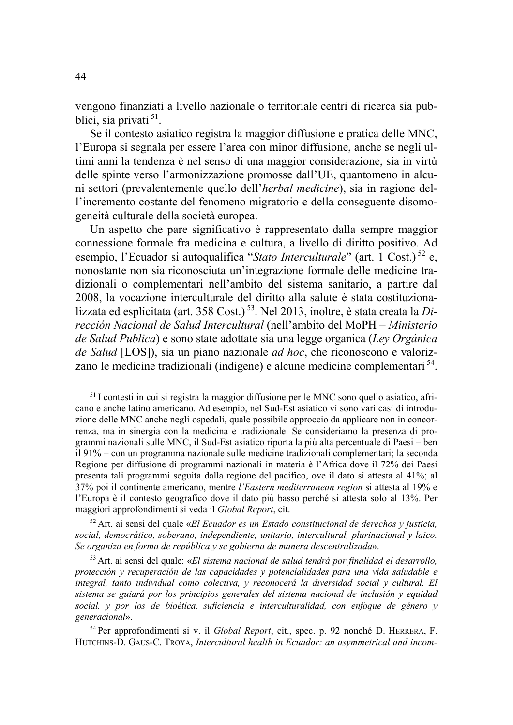vengono finanziati a livello nazionale o territoriale centri di ricerca sia pubblici, sia privati<sup>51</sup>.

Se il contesto asiatico registra la maggior diffusione e pratica delle MNC, l'Europa si segnala per essere l'area con minor diffusione, anche se negli ultimi anni la tendenza è nel senso di una maggior considerazione, sia in virtù delle spinte verso l'armonizzazione promosse dall'UE, quantomeno in alcuni settori (prevalentemente quello dell'herbal medicine), sia in ragione dell'incremento costante del fenomeno migratorio e della conseguente disomogeneità culturale della società europea.

Un aspetto che pare significativo è rappresentato dalla sempre maggior connessione formale fra medicina e cultura, a livello di diritto positivo. Ad esempio, l'Ecuador si autoqualifica "Stato Interculturale" (art. 1 Cost.)<sup>52</sup> e, nonostante non sia riconosciuta un'integrazione formale delle medicine tradizionali o complementari nell'ambito del sistema sanitario, a partire dal 2008, la vocazione interculturale del diritto alla salute è stata costituzionalizzata ed esplicitata (art. 358 Cost.)<sup>53</sup>. Nel 2013, inoltre, è stata creata la Dirección Nacional de Salud Intercultural (nell'ambito del MoPH – Ministerio de Salud Publica) e sono state adottate sia una legge organica (Ley Orgánica de Salud [LOS]), sia un piano nazionale *ad hoc*, che riconoscono e valorizzano le medicine tradizionali (indigene) e alcune medicine complementari<sup>54</sup>.

<sup>&</sup>lt;sup>51</sup> I contesti in cui si registra la maggior diffusione per le MNC sono quello asiatico, africano e anche latino americano. Ad esempio, nel Sud-Est asiatico vi sono vari casi di introduzione delle MNC anche negli ospedali, quale possibile approccio da applicare non in concorrenza, ma in sinergia con la medicina e tradizionale. Se consideriamo la presenza di programmi nazionali sulle MNC, il Sud-Est asiatico riporta la più alta percentuale di Paesi – ben il 91% – con un programma nazionale sulle medicine tradizionali complementari; la seconda Regione per diffusione di programmi nazionali in materia è l'Africa dove il 72% dei Paesi presenta tali programmi seguita dalla regione del pacifico, ove il dato si attesta al 41%; al 37% poi il continente americano, mentre l'Eastern mediterranean region si attesta al 19% e l'Europa è il contesto geografico dove il dato più basso perché si attesta solo al 13%. Per maggiori approfondimenti si veda il Global Report, cit.

 $52$  Art. ai sensi del quale «El Ecuador es un Estado constitucional de derechos y justicia. social, democrático, soberano, independiente, unitario, intercultural, plurinacional y laico. Se organiza en forma de república y se gobierna de manera descentralizada».

<sup>&</sup>lt;sup>53</sup> Art. ai sensi del quale: «El sistema nacional de salud tendrá por finalidad el desarrollo, protección y recuperación de las capacidades y potencialidades para una vida saludable e integral, tanto individual como colectiva, y reconocerá la diversidad social y cultural. El sistema se guiará por los principios generales del sistema nacional de inclusión y equidad social, y por los de bioética, suficiencia e interculturalidad, con enfoque de género y generacional».

<sup>&</sup>lt;sup>54</sup> Per approfondimenti si v. il *Global Report*, cit., spec. p. 92 nonché D. HERRERA, F. HUTCHINS-D. GAUS-C. TROYA, Intercultural health in Ecuador: an asymmetrical and incom-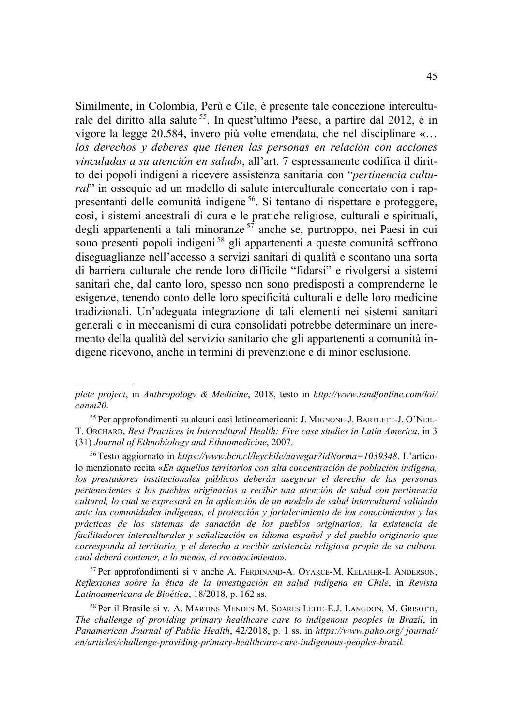45

Similmente, in Colombia, Perù e Cile, è presente tale concezione interculturale del diritto alla salute<sup>55</sup>. In quest'ultimo Paese, a partire dal 2012, è in vigore la legge 20.584, invero più volte emendata, che nel disciplinare «... los derechos y deberes que tienen las personas en relación con acciones vinculadas a su atención en salud», all'art. 7 espressamente codifica il diritto dei popoli indigeni a ricevere assistenza sanitaria con "*pertinencia cultu*ral" in ossequio ad un modello di salute interculturale concertato con i rappresentanti delle comunità indigene<sup>56</sup>. Si tentano di rispettare e proteggere, così, i sistemi ancestrali di cura e le pratiche religiose, culturali e spirituali, degli appartenenti a tali minoranze  $5^7$  anche se, purtroppo, nei Paesi in cui sono presenti popoli indigeni<sup>58</sup> gli appartenenti a queste comunità soffrono diseguaglianze nell'accesso a servizi sanitari di qualità e scontano una sorta di barriera culturale che rende loro difficile "fidarsi" e rivolgersi a sistemi sanitari che, dal canto loro, spesso non sono predisposti a comprenderne le esigenze, tenendo conto delle loro specificità culturali e delle loro medicine tradizionali. Un'adeguata integrazione di tali elementi nei sistemi sanitari generali e in meccanismi di cura consolidati potrebbe determinare un incremento della qualità del servizio sanitario che gli appartenenti a comunità indigene ricevono, anche in termini di prevenzione e di minor esclusione.

<sup>56</sup> Testo aggiornato in https://www.bcn.cl/leychile/navegar?idNorma=1039348. L'articolo menzionato recita «En aquellos territorios con alta concentración de población indígena, los prestadores institucionales públicos deberán asegurar el derecho de las personas pertenecientes a los pueblos originarios a recibir una atención de salud con pertinencia cultural, lo cual se expresará en la aplicación de un modelo de salud intercultural validado ante las comunidades indígenas, el protección y fortalecimiento de los conocimientos y las prácticas de los sistemas de sanación de los pueblos originarios; la existencia de facilitadores interculturales y señalización en idioma español y del pueblo originario que corresponda al territorio, y el derecho a recibir asistencia religiosa propia de su cultura. cual deberá contener, a lo menos, el reconocimiento».

<sup>57</sup> Per approfondimenti si v anche A. FERDINAND-A. OYARCE-M. KELAHER-I. ANDERSON, Reflexiones sobre la ética de la investigación en salud indígena en Chile, in Revista Latinoamericana de Bioética, 18/2018, p. 162 ss.

<sup>58</sup> Per il Brasile si v. A. MARTINS MENDES-M. SOARES LEITE-E.J. LANGDON, M. GRISOTTI, The challenge of providing primary healthcare care to indigenous peoples in Brazil, in Panamerican Journal of Public Health, 42/2018, p. 1 ss. in https://www.paho.org/journal/ en/articles/challenge-providing-primary-healthcare-care-indigenous-peoples-brazil.

plete project, in Anthropology & Medicine, 2018, testo in http://www.tandfonline.com/loi/ canm20.

<sup>&</sup>lt;sup>55</sup> Per approfondimenti su alcuni casi latinoamericani: J. MIGNONE-J. BARTLETT-J. O'NEIL-T. ORCHARD, Best Practices in Intercultural Health: Five case studies in Latin America, in 3 (31) Journal of Ethnobiology and Ethnomedicine, 2007.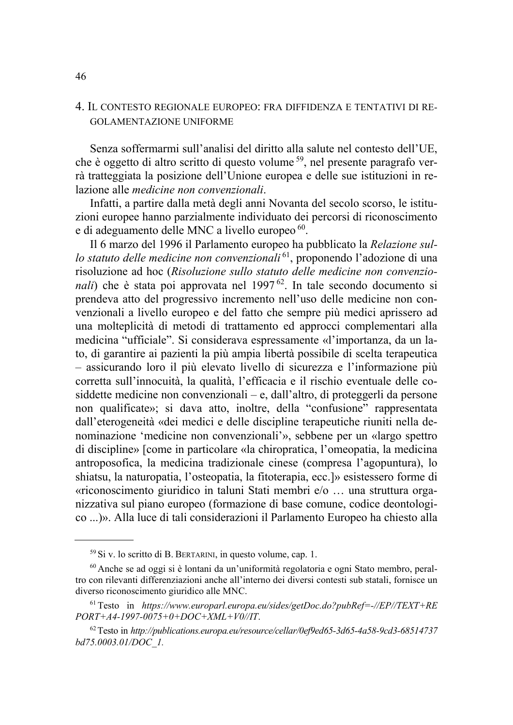### 4. IL CONTESTO REGIONALE EUROPEO: FRA DIFFIDENZA E TENTATIVI DI RE-**GOLAMENTAZIONE UNIFORME**

Senza soffermarmi sull'analisi del diritto alla salute nel contesto dell'UE, che è oggetto di altro scritto di questo volume<sup>59</sup>, nel presente paragrafo verrà tratteggiata la posizione dell'Unione europea e delle sue istituzioni in relazione alle *medicine non convenzionali*.

Infatti, a partire dalla metà degli anni Novanta del secolo scorso, le istituzioni europee hanno parzialmente individuato dei percorsi di riconoscimento e di adeguamento delle MNC a livello europeo<sup>60</sup>.

Il 6 marzo del 1996 il Parlamento europeo ha pubblicato la Relazione sullo statuto delle medicine non convenzionali<sup>61</sup>, proponendo l'adozione di una risoluzione ad hoc (Risoluzione sullo statuto delle medicine non convenzio*nali*) che è stata poi approvata nel 1997<sup>62</sup>. In tale secondo documento si prendeva atto del progressivo incremento nell'uso delle medicine non convenzionali a livello europeo e del fatto che sempre più medici aprissero ad una molteplicità di metodi di trattamento ed approcci complementari alla medicina "ufficiale". Si considerava espressamente «l'importanza, da un lato, di garantire ai pazienti la più ampia libertà possibile di scelta terapeutica - assicurando loro il più elevato livello di sicurezza e l'informazione più corretta sull'innocuità, la qualità, l'efficacia e il rischio eventuale delle cosiddette medicine non convenzionali – e, dall'altro, di proteggerli da persone non qualificate»; si dava atto, inoltre, della "confusione" rappresentata dall'eterogeneità «dei medici e delle discipline terapeutiche riuniti nella denominazione 'medicine non convenzionali'», sebbene per un «largo spettro di discipline» [come in particolare «la chiropratica, l'omeopatia, la medicina antroposofica, la medicina tradizionale cinese (compresa l'agopuntura), lo shiatsu, la naturopatia, l'osteopatia, la fitoterapia, ecc.]» esistessero forme di «riconoscimento giuridico in taluni Stati membri e/o ... una struttura organizzativa sul piano europeo (formazione di base comune, codice deontologico ...)». Alla luce di tali considerazioni il Parlamento Europeo ha chiesto alla

<sup>&</sup>lt;sup>59</sup> Si v. lo scritto di B. BERTARINI, in questo volume, cap. 1.

<sup>&</sup>lt;sup>60</sup> Anche se ad oggi si è lontani da un'uniformità regolatoria e ogni Stato membro, peraltro con rilevanti differenziazioni anche all'interno dei diversi contesti sub statali, fornisce un diverso riconoscimento giuridico alle MNC.

 $^{61}$  Testo in https://www.europarl.europa.eu/sides/getDoc.do?pubRef=-//EP//TEXT+RE  $PORT + A4-1997-0075+0+DOC+XML+VO/IT.$ 

 $62$  Testo in http://publications.europa.eu/resource/cellar/0ef9ed65-3d65-4a58-9cd3-68514737 bd75.0003.01/DOC 1.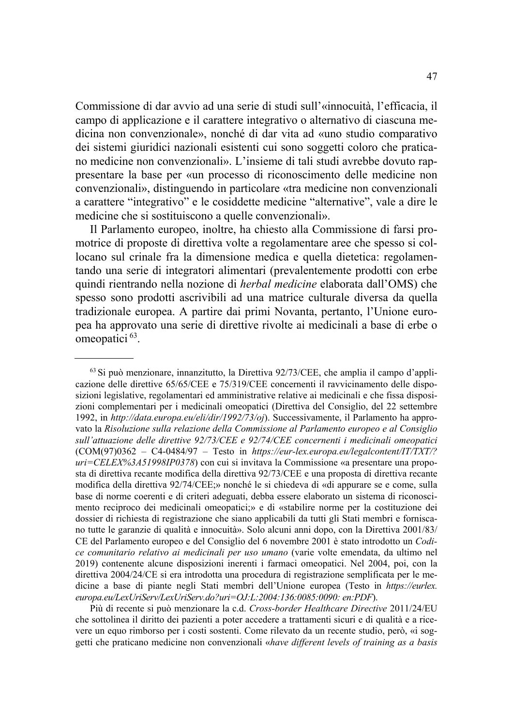Commissione di dar avvio ad una serie di studi sull'«innocuità, l'efficacia, il campo di applicazione e il carattere integrativo o alternativo di ciascuna medicina non convenzionale», nonché di dar vita ad «uno studio comparativo dei sistemi giuridici nazionali esistenti cui sono soggetti coloro che praticano medicine non convenzionali». L'insieme di tali studi avrebbe dovuto rappresentare la base per «un processo di riconoscimento delle medicine non convenzionali», distinguendo in particolare «tra medicine non convenzionali a carattere "integrativo" e le cosiddette medicine "alternative", vale a dire le medicine che si sostituiscono a quelle convenzionali».

Il Parlamento europeo, inoltre, ha chiesto alla Commissione di farsi promotrice di proposte di direttiva volte a regolamentare aree che spesso si collocano sul crinale fra la dimensione medica e quella dietetica: regolamentando una serie di integratori alimentari (prevalentemente prodotti con erbe quindi rientrando nella nozione di *herbal medicine* elaborata dall'OMS) che spesso sono prodotti ascrivibili ad una matrice culturale diversa da quella tradizionale europea. A partire dai primi Novanta, pertanto, l'Unione europea ha approvato una serie di direttive rivolte ai medicinali a base di erbe o omeopatici<sup>63</sup>.

 $^{63}$  Si può menzionare, innanzitutto, la Direttiva 92/73/CEE, che amplia il campo d'applicazione delle direttive 65/65/CEE e 75/319/CEE concernenti il ravvicinamento delle disposizioni legislative, regolamentari ed amministrative relative ai medicinali e che fissa disposizioni complementari per i medicinali omeopatici (Direttiva del Consiglio, del 22 settembre 1992, in http://data.europa.eu/eli/dir/1992/73/oj). Successivamente, il Parlamento ha approvato la Risoluzione sulla relazione della Commissione al Parlamento europeo e al Consiglio sull'attuazione delle direttive 92/73/CEE e 92/74/CEE concernenti i medicinali omeopatici  $(COM(97)0362 - C4-0484/97 - Testo$  in https://eur-lex.europa.eu/legalcontent/IT/TXT/?  $uri=CELEX\%3A51998IP0378$  con cui si invitava la Commissione «a presentare una proposta di direttiva recante modifica della direttiva 92/73/CEE e una proposta di direttiva recante modifica della direttiva 92/74/CEE;» nonché le si chiedeva di «di appurare se e come, sulla base di norme coerenti e di criteri adeguati, debba essere elaborato un sistema di riconoscimento reciproco dei medicinali omeopatici;» e di «stabilire norme per la costituzione dei dossier di richiesta di registrazione che siano applicabili da tutti gli Stati membri e forniscano tutte le garanzie di qualità e innocuità». Solo alcuni anni dopo, con la Direttiva 2001/83/ CE del Parlamento europeo e del Consiglio del 6 novembre 2001 è stato introdotto un Codice comunitario relativo ai medicinali per uso umano (varie volte emendata, da ultimo nel 2019) contenente alcune disposizioni inerenti i farmaci omeopatici. Nel 2004, poi, con la direttiva 2004/24/CE si era introdotta una procedura di registrazione semplificata per le medicine a base di piante negli Stati membri dell'Unione europea (Testo in https://eurlex. europa.eu/LexUriServ/LexUriServ.do?uri=OJ:L:2004:136:0085:0090: en:PDF).

Più di recente si può menzionare la c.d. Cross-border Healthcare Directive 2011/24/EU che sottolinea il diritto dei pazienti a poter accedere a trattamenti sicuri e di qualità e a ricevere un equo rimborso per i costi sostenti. Come rilevato da un recente studio, però, «i soggetti che praticano medicine non convenzionali «have different levels of training as a basis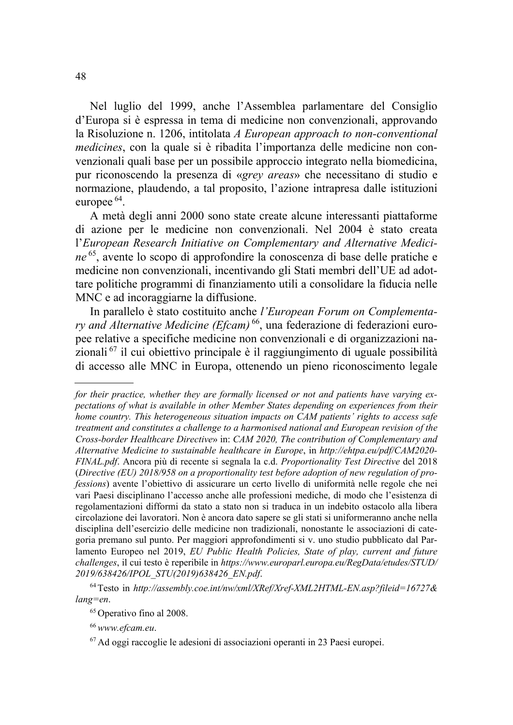Nel luglio del 1999, anche l'Assemblea parlamentare del Consiglio d'Europa si è espressa in tema di medicine non convenzionali, approvando la Risoluzione n. 1206, intitolata A European approach to non-conventional *medicines*, con la quale si è ribadita l'importanza delle medicine non convenzionali quali base per un possibile approccio integrato nella biomedicina, pur riconoscendo la presenza di «grey areas» che necessitano di studio e normazione, plaudendo, a tal proposito, l'azione intrapresa dalle istituzioni europee  $^{64}$ .

A metà degli anni 2000 sono state create alcune interessanti piattaforme di azione per le medicine non convenzionali. Nel 2004 è stato creata l'European Research Initiative on Complementary and Alternative Medicine <sup>65</sup>, avente lo scopo di approfondire la conoscenza di base delle pratiche e medicine non convenzionali, incentivando gli Stati membri dell'UE ad adottare politiche programmi di finanziamento utili a consolidare la fiducia nelle MNC e ad incoraggiarne la diffusione.

In parallelo è stato costituito anche l'European Forum on Complementary and Alternative Medicine (Efcam)<sup>66</sup>, una federazione di federazioni europee relative a specifiche medicine non convenzionali e di organizzazioni nazionali<sup>67</sup> il cui obiettivo principale è il raggiungimento di uguale possibilità di accesso alle MNC in Europa, ottenendo un pieno riconoscimento legale

for their practice, whether they are formally licensed or not and patients have varying expectations of what is available in other Member States depending on experiences from their home country. This heterogeneous situation impacts on CAM patients' rights to access safe treatment and constitutes a challenge to a harmonised national and European revision of the Cross-border Healthcare Directive in: CAM 2020, The contribution of Complementary and Alternative Medicine to sustainable healthcare in Europe, in http://ehtpa.eu/pdf/CAM2020-FINAL.pdf. Ancora più di recente si segnala la c.d. Proportionality Test Directive del 2018 (Directive (EU) 2018/958 on a proportionality test before adoption of new regulation of professions) avente l'obiettivo di assicurare un certo livello di uniformità nelle regole che nei vari Paesi disciplinano l'accesso anche alle professioni mediche, di modo che l'esistenza di regolamentazioni difformi da stato a stato non si traduca in un indebito ostacolo alla libera circolazione dei lavoratori. Non è ancora dato sapere se gli stati si uniformeranno anche nella disciplina dell'esercizio delle medicine non tradizionali, nonostante le associazioni di categoria premano sul punto. Per maggiori approfondimenti si v. uno studio pubblicato dal Parlamento Europeo nel 2019, EU Public Health Policies, State of play, current and future challenges, il cui testo è reperibile in https://www.europarl.europa.eu/RegData/etudes/STUD/ 2019/638426/IPOL STU(2019)638426 EN.pdf.

 $64$  Testo in http://assembly.coe.int/nw/xml/XRef/Xref-XML2HTML-EN.asp?fileid=16727&  $lang = en$ .

<sup>&</sup>lt;sup>65</sup> Operativo fino al 2008.

 $66$  www.efcam.eu.

 $67$  Ad oggi raccoglie le adesioni di associazioni operanti in 23 Paesi europei.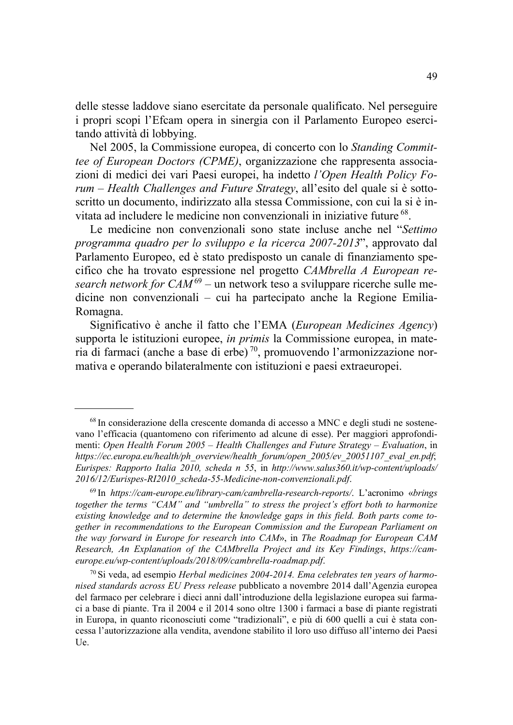delle stesse laddove siano esercitate da personale qualificato. Nel perseguire i propri scopi l'Efcam opera in sinergia con il Parlamento Europeo esercitando attività di lobbying.

Nel 2005, la Commissione europea, di concerto con lo Standing Committee of European Doctors (CPME), organizzazione che rappresenta associazioni di medici dei vari Paesi europei, ha indetto l'Open Health Policy Forum – Health Challenges and Future Strategy, all'esito del quale si è sottoscritto un documento, indirizzato alla stessa Commissione, con cui la si è invitata ad includere le medicine non convenzionali in iniziative future <sup>68</sup>.

Le medicine non convenzionali sono state incluse anche nel "Settimo" programma quadro per lo sviluppo e la ricerca 2007-2013", approvato dal Parlamento Europeo, ed è stato predisposto un canale di finanziamento specifico che ha trovato espressione nel progetto CAMbrella A European research network for  $CAM^{69}$  – un network teso a sviluppare ricerche sulle medicine non convenzionali – cui ha partecipato anche la Regione Emilia-Romagna.

Significativo è anche il fatto che l'EMA (European Medicines Agency) supporta le istituzioni europee, in primis la Commissione europea, in materia di farmaci (anche a base di erbe)<sup>70</sup>, promuovendo l'armonizzazione normativa e operando bilateralmente con istituzioni e paesi extraeuropei.

<sup>&</sup>lt;sup>68</sup> In considerazione della crescente domanda di accesso a MNC e degli studi ne sostenevano l'efficacia (quantomeno con riferimento ad alcune di esse). Per maggiori approfondimenti: Open Health Forum 2005 - Health Challenges and Future Strategy - Evaluation, in https://ec.europa.eu/health/ph overview/health forum/open 2005/ev 20051107 eval en.pdf; Eurispes: Rapporto Italia 2010, scheda n 55, in http://www.salus360.it/wp-content/uploads/ 2016/12/Eurispes-RI2010 scheda-55-Medicine-non-convenzionali.pdf.

 $69$  In https://cam-europe.eu/library-cam/cambrella-research-reports/. L'acronimo «brings together the terms "CAM" and "umbrella" to stress the project's effort both to harmonize existing knowledge and to determine the knowledge gaps in this field. Both parts come together in recommendations to the European Commission and the European Parliament on the way forward in Europe for research into CAM», in The Roadmap for European CAM Research, An Explanation of the CAMbrella Project and its Key Findings, https://cameurope.eu/wp-content/uploads/2018/09/cambrella-roadmap.pdf.

 $70$  Si veda, ad esempio Herbal medicines 2004-2014. Ema celebrates ten years of harmonised standards across EU Press release pubblicato a novembre 2014 dall'Agenzia europea del farmaco per celebrare i dieci anni dall'introduzione della legislazione europea sui farmaci a base di piante. Tra il 2004 e il 2014 sono oltre 1300 i farmaci a base di piante registrati in Europa, in quanto riconosciuti come "tradizionali", e più di 600 quelli a cui è stata concessa l'autorizzazione alla vendita, avendone stabilito il loro uso diffuso all'interno dei Paesi Ue.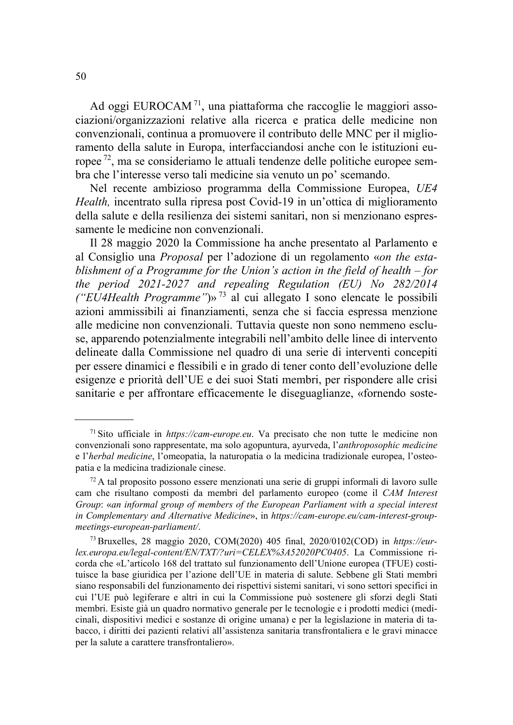Ad oggi EUROCAM<sup>71</sup>, una piattaforma che raccoglie le maggiori associazioni/organizzazioni relative alla ricerca e pratica delle medicine non convenzionali, continua a promuovere il contributo delle MNC per il miglioramento della salute in Europa, interfacciandosi anche con le istituzioni europee  $^{72}$ , ma se consideriamo le attuali tendenze delle politiche europee sembra che l'interesse verso tali medicine sia venuto un po' scemando.

Nel recente ambizioso programma della Commissione Europea, UE4 Health, incentrato sulla ripresa post Covid-19 in un'ottica di miglioramento della salute e della resilienza dei sistemi sanitari, non si menzionano espressamente le medicine non convenzionali.

Il 28 maggio 2020 la Commissione ha anche presentato al Parlamento e al Consiglio una Proposal per l'adozione di un regolamento «on the establishment of a Programme for the Union's action in the field of health  $-$  for the period  $2021-2027$  and repealing Regulation (EU) No  $282/2014$ ("EU4Health Programme")»<sup>73</sup> al cui allegato I sono elencate le possibili azioni ammissibili ai finanziamenti, senza che si faccia espressa menzione alle medicine non convenzionali. Tuttavia queste non sono nemmeno escluse, apparendo potenzialmente integrabili nell'ambito delle linee di intervento delineate dalla Commissione nel quadro di una serie di interventi concepiti per essere dinamici e flessibili e in grado di tener conto dell'evoluzione delle esigenze e priorità dell'UE e dei suoi Stati membri, per rispondere alle crisi sanitarie e per affrontare efficacemente le diseguaglianze, «fornendo soste-

 $71$  Sito ufficiale in *https://cam-europe.eu*. Va precisato che non tutte le medicine non convenzionali sono rappresentate, ma solo agopuntura, ayurveda, l'anthroposophic medicine e l'herbal medicine, l'omeopatia, la naturopatia o la medicina tradizionale europea, l'osteopatia e la medicina tradizionale cinese.

 $^{72}$  A tal proposito possono essere menzionati una serie di gruppi informali di lavoro sulle cam che risultano composti da membri del parlamento europeo (come il CAM Interest Group: «an informal group of members of the European Parliament with a special interest in Complementary and Alternative Medicine», in https://cam-europe.eu/cam-interest-groupmeetings-european-parliament/.

<sup>&</sup>lt;sup>73</sup> Bruxelles, 28 maggio 2020, COM(2020) 405 final, 2020/0102(COD) in https://eurlex.europa.eu/legal-content/EN/TXT/?uri=CELEX%3A52020PC0405. La Commissione ricorda che «L'articolo 168 del trattato sul funzionamento dell'Unione europea (TFUE) costituisce la base giuridica per l'azione dell'UE in materia di salute. Sebbene gli Stati membri siano responsabili del funzionamento dei rispettivi sistemi sanitari, vi sono settori specifici in cui l'UE può legiferare e altri in cui la Commissione può sostenere gli sforzi degli Stati membri. Esiste già un quadro normativo generale per le tecnologie e i prodotti medici (medicinali, dispositivi medici e sostanze di origine umana) e per la legislazione in materia di tabacco, i diritti dei pazienti relativi all'assistenza sanitaria transfrontaliera e le gravi minacce per la salute a carattere transfrontaliero».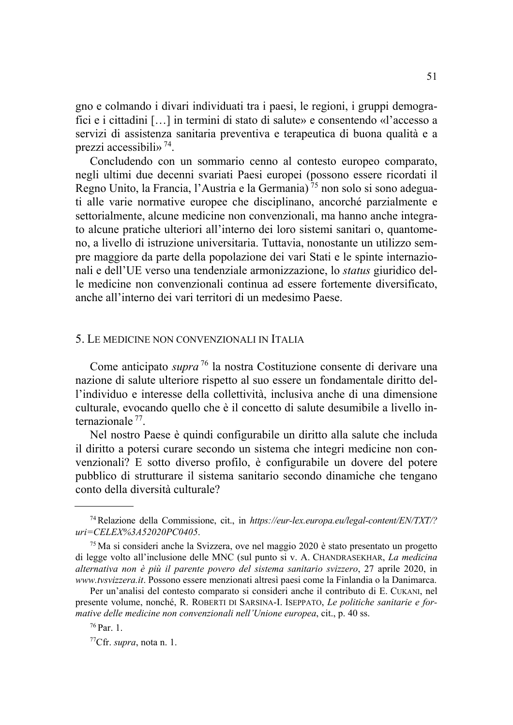gno e colmando i divari individuati tra i paesi, le regioni, i gruppi demografici e i cittadini [...] in termini di stato di salute» e consentendo «l'accesso a servizi di assistenza sanitaria preventiva e terapeutica di buona qualità e a prezzi accessibili $^{74}$ .

Concludendo con un sommario cenno al contesto europeo comparato, negli ultimi due decenni svariati Paesi europei (possono essere ricordati il Regno Unito, la Francia, l'Austria e la Germania)<sup>75</sup> non solo si sono adeguati alle varie normative europee che disciplinano, ancorché parzialmente e settorialmente, alcune medicine non convenzionali, ma hanno anche integrato alcune pratiche ulteriori all'interno dei loro sistemi sanitari o, quantomeno, a livello di istruzione universitaria. Tuttavia, nonostante un utilizzo sempre maggiore da parte della popolazione dei vari Stati e le spinte internazionali e dell'UE verso una tendenziale armonizzazione, lo *status* giuridico delle medicine non convenzionali continua ad essere fortemente diversificato, anche all'interno dei vari territori di un medesimo Paese.

#### 5. LE MEDICINE NON CONVENZIONALI IN ITALIA

Come anticipato *supra*<sup>76</sup> la nostra Costituzione consente di derivare una nazione di salute ulteriore rispetto al suo essere un fondamentale diritto dell'individuo e interesse della collettività, inclusiva anche di una dimensione culturale, evocando quello che è il concetto di salute desumibile a livello internazionale  $77$ .

Nel nostro Paese è quindi configurabile un diritto alla salute che includa il diritto a potersi curare secondo un sistema che integri medicine non convenzionali? E sotto diverso profilo, è configurabile un dovere del potere pubblico di strutturare il sistema sanitario secondo dinamiche che tengano conto della diversità culturale?

<sup>&</sup>lt;sup>74</sup> Relazione della Commissione, cit., in https://eur-lex.europa.eu/legal-content/EN/TXT/? uri=CELEX%3A52020PC0405.

<sup>&</sup>lt;sup>75</sup> Ma si consideri anche la Svizzera, ove nel maggio 2020 è stato presentato un progetto di legge volto all'inclusione delle MNC (sul punto si v. A. CHANDRASEKHAR, La medicina alternativa non è più il parente povero del sistema sanitario svizzero, 27 aprile 2020, in www.tvsvizzera.it. Possono essere menzionati altresì paesi come la Finlandia o la Danimarca.

Per un'analisi del contesto comparato si consideri anche il contributo di E. CUKANI, nel presente volume, nonché, R. ROBERTI DI SARSINA-I. ISEPPATO, Le politiche sanitarie e formative delle medicine non convenzionali nell'Unione europea, cit., p. 40 ss.

 $76$  Par. 1.

<sup>&</sup>lt;sup>77</sup>Cfr. *supra*, nota n. 1.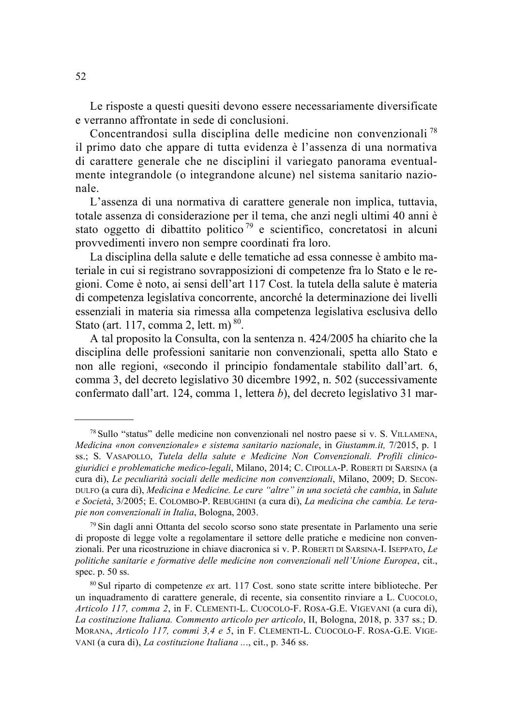Le risposte a questi quesiti devono essere necessariamente diversificate e verranno affrontate in sede di conclusioni.

Concentrandosi sulla disciplina delle medicine non convenzionali<sup>78</sup> il primo dato che appare di tutta evidenza è l'assenza di una normativa di carattere generale che ne disciplini il variegato panorama eventualmente integrandole (o integrandone alcune) nel sistema sanitario nazionale.

L'assenza di una normativa di carattere generale non implica, tuttavia, totale assenza di considerazione per il tema, che anzi negli ultimi 40 anni è stato oggetto di dibattito politico<sup>79</sup> e scientifico, concretatosi in alcuni provvedimenti invero non sempre coordinati fra loro.

La disciplina della salute e delle tematiche ad essa connesse è ambito materiale in cui si registrano sovrapposizioni di competenze fra lo Stato e le regioni. Come è noto, ai sensi dell'art 117 Cost. la tutela della salute è materia di competenza legislativa concorrente, ancorché la determinazione dei livelli essenziali in materia sia rimessa alla competenza legislativa esclusiva dello Stato (art. 117, comma 2, lett. m)<sup>80</sup>.

A tal proposito la Consulta, con la sentenza n. 424/2005 ha chiarito che la disciplina delle professioni sanitarie non convenzionali, spetta allo Stato e non alle regioni, «secondo il principio fondamentale stabilito dall'art. 6, comma 3, del decreto legislativo 30 dicembre 1992, n. 502 (successivamente confermato dall'art. 124, comma 1, lettera b), del decreto legislativo 31 mar-

<sup>78</sup> Sullo "status" delle medicine non convenzionali nel nostro paese si v. S. VILLAMENA, Medicina «non convenzionale» e sistema sanitario nazionale, in Giustamm.it, 7/2015, p. 1 ss.; S. VASAPOLLO, Tutela della salute e Medicine Non Convenzionali. Profili clinicogiuridici e problematiche medico-legali, Milano, 2014; C. CIPOLLA-P. ROBERTI DI SARSINA (a cura di), Le peculiarità sociali delle medicine non convenzionali, Milano, 2009; D. SECON-DULFO (a cura di), Medicina e Medicine. Le cure "altre" in una società che cambia, in Salute e Società, 3/2005; E. COLOMBO-P. REBUGHINI (a cura di), La medicina che cambia. Le terapie non convenzionali in Italia, Bologna, 2003.

<sup>79</sup> Sin dagli anni Ottanta del secolo scorso sono state presentate in Parlamento una serie di proposte di legge volte a regolamentare il settore delle pratiche e medicine non convenzionali. Per una ricostruzione in chiave diacronica si v. P. ROBERTI DI SARSINA-I. ISEPPATO, Le politiche sanitarie e formative delle medicine non convenzionali nell'Unione Europea, cit., spec. p. 50 ss.

 $80$  Sul riparto di competenze ex art. 117 Cost. sono state scritte intere biblioteche. Per un inquadramento di carattere generale, di recente, sia consentito rinviare a L. CUOCOLO, Articolo 117, comma 2, in F. CLEMENTI-L. CUOCOLO-F. ROSA-G.E. VIGEVANI (a cura di), La costituzione Italiana. Commento articolo per articolo, II, Bologna, 2018, p. 337 ss.; D. MORANA, Articolo 117, commi 3,4 e 5, in F. CLEMENTI-L. CUOCOLO-F. ROSA-G.E. VIGE-VANI (a cura di), La costituzione Italiana ..., cit., p. 346 ss.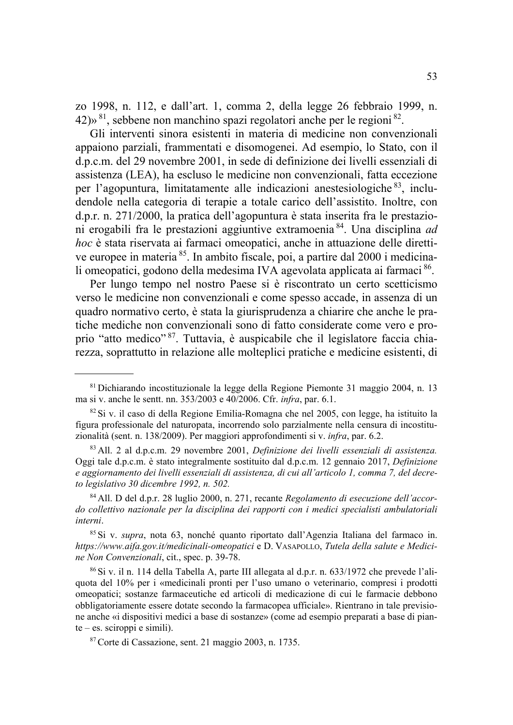zo 1998, n. 112, e dall'art. 1, comma 2, della legge 26 febbraio 1999, n. 42)»  $81$ , sebbene non manchino spazi regolatori anche per le regioni  $82$ .

Gli interventi sinora esistenti in materia di medicine non convenzionali appaiono parziali, frammentati e disomogenei. Ad esempio, lo Stato, con il d.p.c.m. del 29 novembre 2001, in sede di definizione dei livelli essenziali di assistenza (LEA), ha escluso le medicine non convenzionali, fatta eccezione per l'agopuntura, limitatamente alle indicazioni anestesiologiche<sup>83</sup>, includendole nella categoria di terapie a totale carico dell'assistito. Inoltre, con d.p.r. n. 271/2000, la pratica dell'agopuntura è stata inserita fra le prestazioni erogabili fra le prestazioni aggiuntive extramoenia<sup>84</sup>. Una disciplina *ad hoc* è stata riservata ai farmaci omeopatici, anche in attuazione delle direttive europee in materia <sup>85</sup>. In ambito fiscale, poi, a partire dal 2000 i medicinali omeopatici, godono della medesima IVA agevolata applicata ai farmaci<sup>86</sup>.

Per lungo tempo nel nostro Paese si è riscontrato un certo scetticismo verso le medicine non convenzionali e come spesso accade, in assenza di un quadro normativo certo, è stata la giurisprudenza a chiarire che anche le pratiche mediche non convenzionali sono di fatto considerate come vero e proprio "atto medico"<sup>87</sup>. Tuttavia, è auspicabile che il legislatore faccia chiarezza, soprattutto in relazione alle molteplici pratiche e medicine esistenti, di

84 All. D del d.p.r. 28 luglio 2000, n. 271, recante Regolamento di esecuzione dell'accordo collettivo nazionale per la disciplina dei rapporti con i medici specialisti ambulatoriali interni.

85 Si v. supra, nota 63, nonché quanto riportato dall'Agenzia Italiana del farmaco in. https://www.aifa.gov.it/medicinali-omeopatici e D. VASAPOLLO, Tutela della salute e Medicine Non Convenzionali, cit., spec. p. 39-78.

<sup>86</sup> Si v. il n. 114 della Tabella A, parte III allegata al d.p.r. n. 633/1972 che prevede l'aliquota del 10% per i «medicinali pronti per l'uso umano o veterinario, compresi i prodotti omeopatici; sostanze farmaceutiche ed articoli di medicazione di cui le farmacie debbono obbligatoriamente essere dotate secondo la farmacopea ufficiale». Rientrano in tale previsione anche «i dispositivi medici a base di sostanze» (come ad esempio preparati a base di pian $te - es. sciropoi e simili$ ).

<sup>&</sup>lt;sup>81</sup> Dichiarando incostituzionale la legge della Regione Piemonte 31 maggio 2004, n. 13 ma si v. anche le sentt. nn. 353/2003 e 40/2006. Cfr. *infra*, par. 6.1.

<sup>&</sup>lt;sup>82</sup> Si v. il caso di della Regione Emilia-Romagna che nel 2005, con legge, ha istituito la figura professionale del naturopata, incorrendo solo parzialmente nella censura di incostituzionalità (sent. n. 138/2009). Per maggiori approfondimenti si v. *infra*, par. 6.2.

<sup>83</sup> All. 2 al d.p.c.m. 29 novembre 2001, Definizione dei livelli essenziali di assistenza. Oggi tale d.p.c.m. è stato integralmente sostituito dal d.p.c.m. 12 gennaio 2017, Definizione e aggiornamento dei livelli essenziali di assistenza, di cui all'articolo 1, comma 7, del decreto legislativo 30 dicembre 1992, n. 502.

<sup>&</sup>lt;sup>87</sup> Corte di Cassazione, sent. 21 maggio 2003, n. 1735.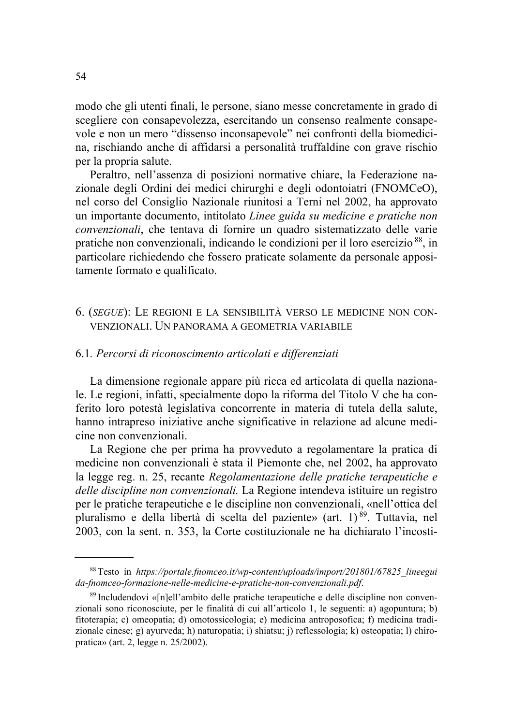modo che gli utenti finali, le persone, siano messe concretamente in grado di scegliere con consapevolezza, esercitando un consenso realmente consapevole e non un mero "dissenso inconsapevole" nei confronti della biomedicina, rischiando anche di affidarsi a personalità truffaldine con grave rischio per la propria salute.

Peraltro, nell'assenza di posizioni normative chiare, la Federazione nazionale degli Ordini dei medici chirurghi e degli odontoiatri (FNOMCeO), nel corso del Consiglio Nazionale riunitosi a Terni nel 2002, ha approvato un importante documento, intitolato Linee guida su medicine e pratiche non convenzionali, che tentava di fornire un quadro sistematizzato delle varie pratiche non convenzionali, indicando le condizioni per il loro esercizio<sup>88</sup>, in particolare richiedendo che fossero praticate solamente da personale appositamente formato e qualificato.

# 6. (*SEGUE*): LE REGIONI E LA SENSIBILITÀ VERSO LE MEDICINE NON CON-VENZIONALL UN PANORAMA A GEOMETRIA VARIABILE

### 6.1. Percorsi di riconoscimento articolati e differenziati

La dimensione regionale appare più ricca ed articolata di quella nazionale. Le regioni, infatti, specialmente dopo la riforma del Titolo V che ha conferito loro potestà legislativa concorrente in materia di tutela della salute, hanno intrapreso iniziative anche significative in relazione ad alcune medicine non convenzionali.

La Regione che per prima ha provveduto a regolamentare la pratica di medicine non convenzionali è stata il Piemonte che, nel 2002, ha approvato la legge reg. n. 25, recante Regolamentazione delle pratiche terapeutiche e delle discipline non convenzionali. La Regione intendeva istituire un registro per le pratiche terapeutiche e le discipline non convenzionali, «nell'ottica del pluralismo e della libertà di scelta del paziente» (art. 1)<sup>89</sup>. Tuttavia, nel 2003, con la sent. n. 353, la Corte costituzionale ne ha dichiarato l'incosti-

<sup>&</sup>lt;sup>88</sup> Testo in https://portale.fnomceo.it/wp-content/uploads/import/201801/67825 lineegui da-fnomceo-formazione-nelle-medicine-e-pratiche-non-convenzionali.pdf.

<sup>89</sup> Includendovi «[n]ell'ambito delle pratiche terapeutiche e delle discipline non convenzionali sono riconosciute, per le finalità di cui all'articolo 1, le seguenti: a) agopuntura; b) fitoterapia; c) omeopatia; d) omotossicologia; e) medicina antroposofica; f) medicina tradizionale cinese; g) ayurveda; h) naturopatia; i) shiatsu; j) reflessologia; k) osteopatia; l) chiropratica» (art. 2, legge n. 25/2002).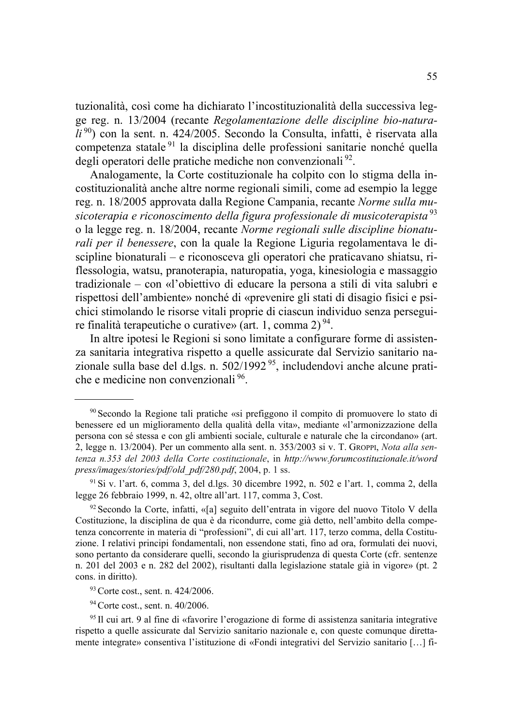tuzionalità, così come ha dichiarato l'incostituzionalità della successiva legge reg. n. 13/2004 (recante Regolamentazione delle discipline bio-natura $li^{90}$ ) con la sent. n. 424/2005. Secondo la Consulta, infatti, è riservata alla competenza statale<sup>91</sup> la disciplina delle professioni sanitarie nonché quella degli operatori delle pratiche mediche non convenzionali<sup>92</sup>.

Analogamente, la Corte costituzionale ha colpito con lo stigma della incostituzionalità anche altre norme regionali simili, come ad esempio la legge reg. n. 18/2005 approvata dalla Regione Campania, recante Norme sulla musicoterapia e riconoscimento della figura professionale di musicoterapista<sup>93</sup> o la legge reg. n. 18/2004, recante Norme regionali sulle discipline bionaturali per il benessere, con la quale la Regione Liguria regolamentava le discipline bionaturali – e riconosceva gli operatori che praticavano shiatsu, riflessologia, watsu, pranoterapia, naturopatia, yoga, kinesiologia e massaggio tradizionale – con «l'obiettivo di educare la persona a stili di vita salubri e rispettosi dell'ambiente» nonché di «prevenire gli stati di disagio fisici e psichici stimolando le risorse vitali proprie di ciascun individuo senza perseguire finalità terapeutiche o curative» (art. 1, comma  $2^{94}$ .

In altre ipotesi le Regioni si sono limitate a configurare forme di assistenza sanitaria integrativa rispetto a quelle assicurate dal Servizio sanitario nazionale sulla base del d.lgs. n. 502/1992<sup>95</sup>, includendovi anche alcune pratiche e medicine non convenzionali<sup>96</sup>.

<sup>&</sup>lt;sup>90</sup> Secondo la Regione tali pratiche «si prefiggono il compito di promuovere lo stato di benessere ed un miglioramento della qualità della vita», mediante «l'armonizzazione della persona con sé stessa e con gli ambienti sociale, culturale e naturale che la circondano» (art. 2, legge n. 13/2004). Per un commento alla sent. n. 353/2003 si v. T. GROPPI, Nota alla sentenza n.353 del 2003 della Corte costituzionale, in http://www.forumcostituzionale.it/word press/images/stories/pdf/old\_pdf/280.pdf, 2004, p. 1 ss.

<sup>&</sup>lt;sup>91</sup> Si v. l'art. 6, comma 3, del d.lgs. 30 dicembre 1992, n. 502 e l'art. 1, comma 2, della legge 26 febbraio 1999, n. 42, oltre all'art. 117, comma 3, Cost.

<sup>92</sup> Secondo la Corte, infatti, «[a] seguito dell'entrata in vigore del nuovo Titolo V della Costituzione, la disciplina de qua è da ricondurre, come già detto, nell'ambito della competenza concorrente in materia di "professioni", di cui all'art. 117, terzo comma, della Costituzione. I relativi principi fondamentali, non essendone stati, fino ad ora, formulati dei nuovi, sono pertanto da considerare quelli, secondo la giurisprudenza di questa Corte (cfr. sentenze n. 201 del 2003 e n. 282 del 2002), risultanti dalla legislazione statale già in vigore» (pt. 2 cons. in diritto).

<sup>93</sup> Corte cost., sent. n. 424/2006.

 $94$  Corte cost., sent. n. 40/2006.

<sup>&</sup>lt;sup>95</sup>Il cui art. 9 al fine di «favorire l'erogazione di forme di assistenza sanitaria integrative rispetto a quelle assicurate dal Servizio sanitario nazionale e, con queste comunque direttamente integrate» consentiva l'istituzione di «Fondi integrativi del Servizio sanitario [...] fi-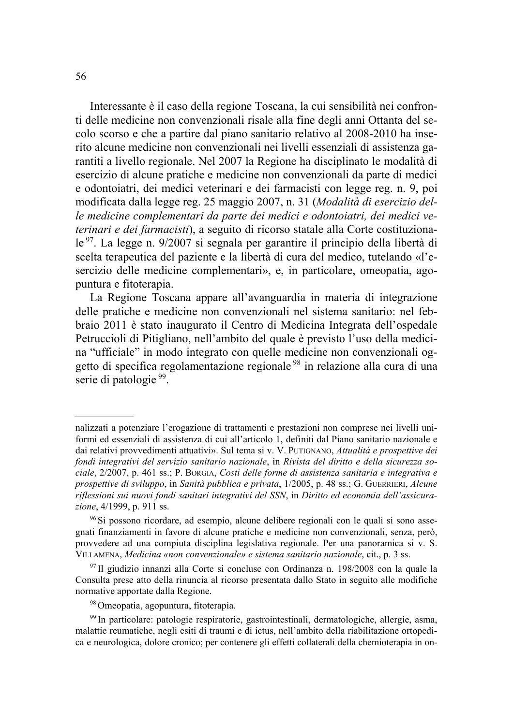Interessante è il caso della regione Toscana, la cui sensibilità nei confronti delle medicine non convenzionali risale alla fine degli anni Ottanta del secolo scorso e che a partire dal piano sanitario relativo al 2008-2010 ha inserito alcune medicine non convenzionali nei livelli essenziali di assistenza garantiti a livello regionale. Nel 2007 la Regione ha disciplinato le modalità di esercizio di alcune pratiche e medicine non convenzionali da parte di medici e odontoiatri, dei medici veterinari e dei farmacisti con legge reg. n. 9, poi modificata dalla legge reg. 25 maggio 2007, n. 31 (*Modalità di esercizio delle medicine complementari da parte dei medici e odontoiatri, dei medici veterinari e dei farmacisti*), a seguito di ricorso statale alla Corte costituzionale <sup>97</sup>. La legge n. 9/2007 si segnala per garantire il principio della libertà di scelta terapeutica del paziente e la libertà di cura del medico, tutelando «l'esercizio delle medicine complementari», e, in particolare, omeopatia, agopuntura e fitoterapia.

La Regione Toscana appare all'avanguardia in materia di integrazione delle pratiche e medicine non convenzionali nel sistema sanitario: nel febbraio 2011 è stato inaugurato il Centro di Medicina Integrata dell'ospedale Petruccioli di Pitigliano, nell'ambito del quale è previsto l'uso della medicina "ufficiale" in modo integrato con quelle medicine non convenzionali oggetto di specifica regolamentazione regionale<sup>98</sup> in relazione alla cura di una serie di patologie  $99$ .

nalizzati a potenziare l'erogazione di trattamenti e prestazioni non comprese nei livelli uniformi ed essenziali di assistenza di cui all'articolo 1, definiti dal Piano sanitario nazionale e dai relativi provvedimenti attuativi». Sul tema si v. V. PUTIGNANO, Attualità e prospettive dei fondi integrativi del servizio sanitario nazionale, in Rivista del diritto e della sicurezza so*ciale*, 2/2007, p. 461 ss.; P. BORGIA, Costi delle forme di assistenza sanitaria e integrativa e *prospettive di sviluppo, in Sanità pubblica e privata, 1/2005, p. 48 ss.; G. GUERRIERI, Alcune* riflessioni sui nuovi fondi sanitari integrativi del SSN, in Diritto ed economia dell'assicura*zione*, 4/1999, p. 911 ss.

<sup>&</sup>lt;sup>96</sup>Si possono ricordare, ad esempio, alcune delibere regionali con le quali si sono assegnati finanziamenti in favore di alcune pratiche e medicine non convenzionali, senza, però, provvedere ad una compiuta disciplina legislativa regionale. Per una panoramica si v. S. VILLAMENA, Medicina «non convenzionale» e sistema sanitario nazionale, cit., p. 3 ss.

 $97$ Il giudizio innanzi alla Corte si concluse con Ordinanza n. 198/2008 con la quale la Consulta prese atto della rinuncia al ricorso presentata dallo Stato in seguito alle modifiche normative apportate dalla Regione.

<sup>&</sup>lt;sup>98</sup> Omeopatia, agopuntura, fitoterapia.

<sup>&</sup>lt;sup>99</sup> In particolare: patologie respiratorie, gastrointestinali, dermatologiche, allergie, asma, malattie reumatiche, negli esiti di traumi e di ictus, nell'ambito della riabilitazione ortopedica e neurologica, dolore cronico; per contenere gli effetti collaterali della chemioterapia in on-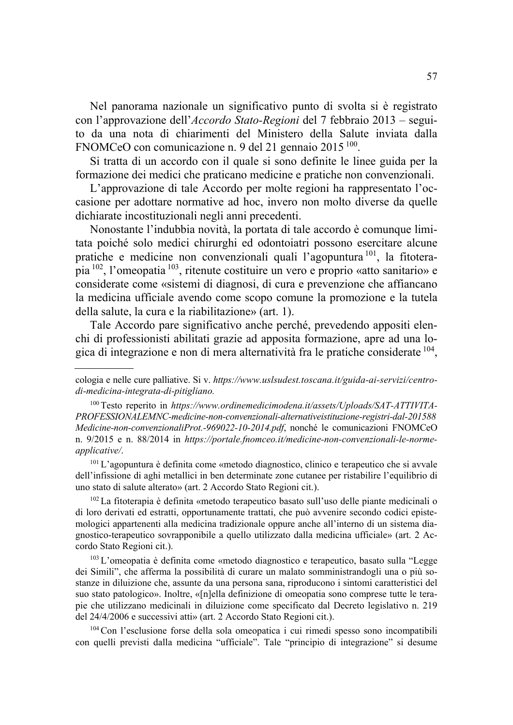Nel panorama nazionale un significativo punto di svolta si è registrato con l'approvazione dell'Accordo Stato-Regioni del 7 febbraio 2013 – seguito da una nota di chiarimenti del Ministero della Salute inviata dalla FNOMCeO con comunicazione n. 9 del 21 gennaio 2015<sup>100</sup>.

Si tratta di un accordo con il quale si sono definite le linee guida per la formazione dei medici che praticano medicine e pratiche non convenzionali.

L'approvazione di tale Accordo per molte regioni ha rappresentato l'occasione per adottare normative ad hoc, invero non molto diverse da quelle dichiarate incostituzionali negli anni precedenti.

Nonostante l'indubbia novità, la portata di tale accordo è comunque limitata poiché solo medici chirurghi ed odontoiatri possono esercitare alcune pratiche e medicine non convenzionali quali l'agopuntura<sup>101</sup>, la fitoterapia <sup>102</sup>, l'omeopatia <sup>103</sup>, ritenute costituire un vero e proprio «atto sanitario» e considerate come «sistemi di diagnosi, di cura e prevenzione che affiancano la medicina ufficiale avendo come scopo comune la promozione e la tutela della salute, la cura e la riabilitazione» (art. 1).

Tale Accordo pare significativo anche perché, prevedendo appositi elenchi di professionisti abilitati grazie ad apposita formazione, apre ad una logica di integrazione e non di mera alternatività fra le pratiche considerate <sup>104</sup>,

<sup>101</sup> L'agopuntura è definita come «metodo diagnostico, clinico e terapeutico che si avvale dell'infissione di aghi metallici in ben determinate zone cutanee per ristabilire l'equilibrio di uno stato di salute alterato» (art. 2 Accordo Stato Regioni cit.).

<sup>102</sup> La fitoterapia è definita «metodo terapeutico basato sull'uso delle piante medicinali o di loro derivati ed estratti, opportunamente trattati, che può avvenire secondo codici epistemologici appartenenti alla medicina tradizionale oppure anche all'interno di un sistema diagnostico-terapeutico sovrapponibile a quello utilizzato dalla medicina ufficiale» (art. 2 Accordo Stato Regioni cit.).

<sup>103</sup> L'omeopatia è definita come «metodo diagnostico e terapeutico, basato sulla "Legge dei Simili", che afferma la possibilità di curare un malato somministrandogli una o più sostanze in diluizione che, assunte da una persona sana, riproducono i sintomi caratteristici del suo stato patologico». Inoltre, «[n]ella definizione di omeopatia sono comprese tutte le terapie che utilizzano medicinali in diluizione come specificato dal Decreto legislativo n. 219 del 24/4/2006 e successivi atti» (art. 2 Accordo Stato Regioni cit.).

<sup>104</sup> Con l'esclusione forse della sola omeopatica i cui rimedi spesso sono incompatibili con quelli previsti dalla medicina "ufficiale". Tale "principio di integrazione" si desume

cologia e nelle cure palliative. Si v. https://www.uslsudest.toscana.it/guida-ai-servizi/centrodi-medicina-integrata-di-pitigliano.

<sup>&</sup>lt;sup>100</sup>Testo reperito in https://www.ordinemedicimodena.it/assets/Uploads/SAT-ATTIVITA-PROFESSIONALEMNC-medicine-non-convenzionali-alternativeistituzione-registri-dal-201588 Medicine-non-convenzionaliProt.-969022-10-2014.pdf, nonché le comunicazioni FNOMCeO n. 9/2015 e n. 88/2014 in https://portale.fnomceo.it/medicine-non-convenzionali-le-normeapplicative/.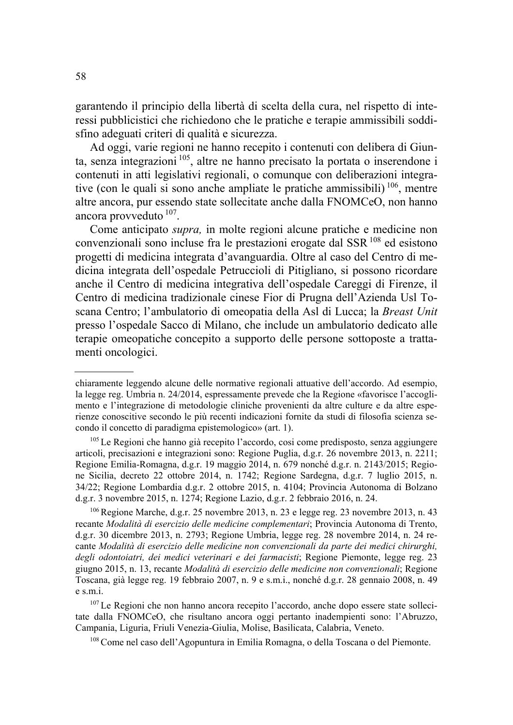garantendo il principio della libertà di scelta della cura, nel rispetto di interessi pubblicistici che richiedono che le pratiche e terapie ammissibili soddisfino adeguati criteri di qualità e sicurezza.

Ad oggi, varie regioni ne hanno recepito i contenuti con delibera di Giunta, senza integrazioni <sup>105</sup>, altre ne hanno precisato la portata o inserendone i contenuti in atti legislativi regionali, o comunque con deliberazioni integrative (con le quali si sono anche ampliate le pratiche ammissibili)<sup>106</sup>, mentre altre ancora, pur essendo state sollecitate anche dalla FNOMCeO, non hanno ancora provveduto  $107$ .

Come anticipato *supra*, in molte regioni alcune pratiche e medicine non convenzionali sono incluse fra le prestazioni erogate dal SSR<sup>108</sup> ed esistono progetti di medicina integrata d'avanguardia. Oltre al caso del Centro di medicina integrata dell'ospedale Petruccioli di Pitigliano, si possono ricordare anche il Centro di medicina integrativa dell'ospedale Careggi di Firenze, il Centro di medicina tradizionale cinese Fior di Prugna dell'Azienda Usl Toscana Centro; l'ambulatorio di omeopatia della Asl di Lucca; la Breast Unit presso l'ospedale Sacco di Milano, che include un ambulatorio dedicato alle terapie omeopatiche concepito a supporto delle persone sottoposte a trattamenti oncologici.

<sup>107</sup> Le Regioni che non hanno ancora recepito l'accordo, anche dopo essere state sollecitate dalla FNOMCeO, che risultano ancora oggi pertanto inadempienti sono: l'Abruzzo, Campania, Liguria, Friuli Venezia-Giulia, Molise, Basilicata, Calabria, Veneto.

<sup>108</sup> Come nel caso dell'Agopuntura in Emilia Romagna, o della Toscana o del Piemonte.

chiaramente leggendo alcune delle normative regionali attuative dell'accordo. Ad esempio, la legge reg. Umbria n. 24/2014, espressamente prevede che la Regione «favorisce l'accoglimento e l'integrazione di metodologie cliniche provenienti da altre culture e da altre esperienze conoscitive secondo le più recenti indicazioni fornite da studi di filosofia scienza secondo il concetto di paradigma epistemologico» (art. 1).

<sup>&</sup>lt;sup>105</sup> Le Regioni che hanno già recepito l'accordo, cosi come predisposto, senza aggiungere articoli, precisazioni e integrazioni sono: Regione Puglia, d.g.r. 26 novembre 2013, n. 2211; Regione Emilia-Romagna, d.g.r. 19 maggio 2014, n. 679 nonché d.g.r. n. 2143/2015; Regione Sicilia, decreto 22 ottobre 2014, n. 1742; Regione Sardegna, d.g.r. 7 luglio 2015, n. 34/22; Regione Lombardia d.g.r. 2 ottobre 2015, n. 4104; Provincia Autonoma di Bolzano d.g.r. 3 novembre 2015, n. 1274; Regione Lazio, d.g.r. 2 febbraio 2016, n. 24.

<sup>&</sup>lt;sup>106</sup> Regione Marche, d.g.r. 25 novembre 2013, n. 23 e legge reg. 23 novembre 2013, n. 43 recante Modalità di esercizio delle medicine complementari; Provincia Autonoma di Trento, d.g.r. 30 dicembre 2013, n. 2793; Regione Umbria, legge reg. 28 novembre 2014, n. 24 recante Modalità di esercizio delle medicine non convenzionali da parte dei medici chirurghi, degli odontoiatri, dei medici veterinari e dei farmacisti; Regione Piemonte, legge reg. 23 giugno 2015, n. 13, recante Modalità di esercizio delle medicine non convenzionali; Regione Toscana, già legge reg. 19 febbraio 2007, n. 9 e s.m.i., nonché d.g.r. 28 gennaio 2008, n. 49 e s.m.i.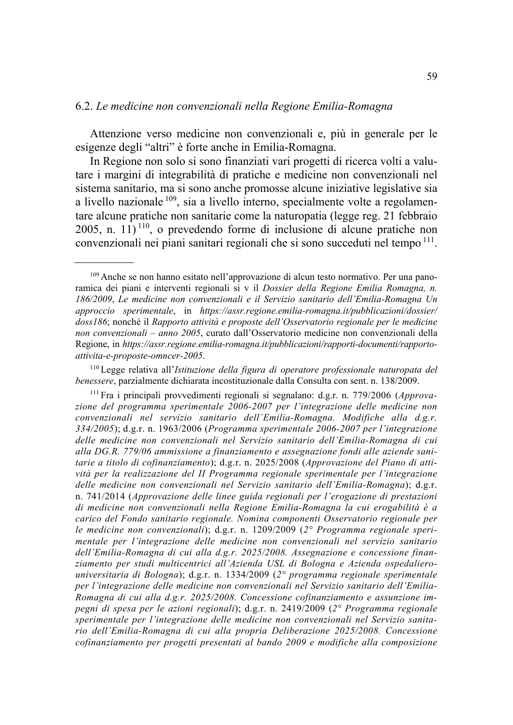#### 6.2. Le medicine non convenzionali nella Regione Emilia-Romagna

Attenzione verso medicine non convenzionali e, più in generale per le esigenze degli "altri" è forte anche in Emilia-Romagna.

In Regione non solo si sono finanziati vari progetti di ricerca volti a valutare i margini di integrabilità di pratiche e medicine non convenzionali nel sistema sanitario, ma si sono anche promosse alcune iniziative legislative sia a livello nazionale  $^{109}$ , sia a livello interno, specialmente volte a regolamentare alcune pratiche non sanitarie come la naturopatia (legge reg. 21 febbraio  $2005$ , n. 11)<sup>110</sup>, o prevedendo forme di inclusione di alcune pratiche non convenzionali nei piani sanitari regionali che si sono succeduti nel tempo<sup>111</sup>.

<sup>&</sup>lt;sup>109</sup> Anche se non hanno esitato nell'approvazione di alcun testo normativo. Per una panoramica dei piani e interventi regionali si v il Dossier della Regione Emilia Romagna. n. 186/2009. Le medicine non convenzionali e il Servizio sanitario dell'Emilia-Romagna Un approccio sperimentale, in https://assr.regione.emilia-romagna.it/pubblicazioni/dossier/ doss186; nonché il Rapporto attività e proposte dell'Osservatorio regionale per le medicine non convenzionali - anno 2005, curato dall'Osservatorio medicine non convenzionali della Regione, in https://assr.regione.emilia-romagna.it/pubblicazioni/rapporti-documenti/rapportoattivita-e-proposte-omncer-2005.

<sup>&</sup>lt;sup>110</sup> Legge relativa all'Istituzione della figura di operatore professionale naturopata del benessere, parzialmente dichiarata incostituzionale dalla Consulta con sent. n. 138/2009.

 $^{111}$  Fra i principali provvedimenti regionali si segnalano: d.g.r. n. 779/2006 (Approvazione del programma sperimentale 2006-2007 per l'integrazione delle medicine non convenzionali nel servizio sanitario dell'Emilia-Romagna. Modifiche alla d.g.r. 334/2005); d.g.r. n. 1963/2006 (Programma sperimentale  $2006-2007$  per l'integrazione delle medicine non convenzionali nel Servizio sanitario dell'Emilia-Romagna di cui alla DG.R. 779/06 ammissione a finanziamento e assegnazione fondi alle aziende sanitarie a titolo di cofinanziamento); d.g.r. n. 2025/2008 (Approvazione del Piano di attività per la realizzazione del II Programma regionale sperimentale per l'integrazione delle medicine non convenzionali nel Servizio sanitario dell'Emilia-Romagna); d.g.r. n. 741/2014 (Approvazione delle linee guida regionali per l'erogazione di prestazioni di medicine non convenzionali nella Regione Emilia-Romagna la cui erogabilità è a carico del Fondo sanitario regionale. Nomina componenti Osservatorio regionale per le medicine non convenzionali); d.g.r. n. 1209/2009 (2° Programma regionale sperimentale per l'integrazione delle medicine non convenzionali nel servizio sanitario dell'Emilia-Romagna di cui alla d.g.r. 2025/2008. Assegnazione e concessione finanziamento per studi multicentrici all'Azienda USL di Bologna e Azienda ospedalierouniversitaria di Bologna); d.g.r. n. 1334/2009 (2° programma regionale sperimentale per l'integrazione delle medicine non convenzionali nel Servizio sanitario dell'Emilia-Romagna di cui alla d.g.r. 2025/2008. Concessione cofinanziamento e assunzione impegni di spesa per le azioni regionali); d.g.r. n. 2419/2009 (2° Programma regionale sperimentale per l'integrazione delle medicine non convenzionali nel Servizio sanitario dell'Emilia-Romagna di cui alla propria Deliberazione 2025/2008. Concessione cofinanziamento per progetti presentati al bando 2009 e modifiche alla composizione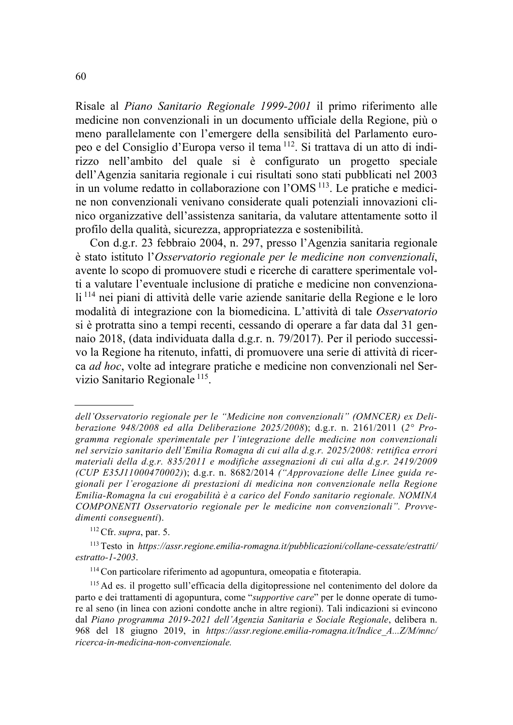Risale al Piano Sanitario Regionale 1999-2001 il primo riferimento alle medicine non convenzionali in un documento ufficiale della Regione, più o meno parallelamente con l'emergere della sensibilità del Parlamento europeo e del Consiglio d'Europa verso il tema <sup>112</sup>. Si trattava di un atto di indirizzo nell'ambito del quale si è configurato un progetto speciale dell'Agenzia sanitaria regionale i cui risultati sono stati pubblicati nel 2003 in un volume redatto in collaborazione con l'OMS<sup>113</sup>. Le pratiche e medicine non convenzionali venivano considerate quali potenziali innovazioni clinico organizzative dell'assistenza sanitaria, da valutare attentamente sotto il profilo della qualità, sicurezza, appropriatezza e sostenibilità.

Con d.g.r. 23 febbraio 2004, n. 297, presso l'Agenzia sanitaria regionale è stato istituto l'Osservatorio regionale per le medicine non convenzionali, avente lo scopo di promuovere studi e ricerche di carattere sperimentale volti a valutare l'eventuale inclusione di pratiche e medicine non convenzionali<sup>114</sup> nei piani di attività delle varie aziende sanitarie della Regione e le loro modalità di integrazione con la biomedicina. L'attività di tale Osservatorio si è protratta sino a tempi recenti, cessando di operare a far data dal 31 gennaio 2018, (data individuata dalla d.g.r. n. 79/2017). Per il periodo successivo la Regione ha ritenuto, infatti, di promuovere una serie di attività di ricerca *ad hoc*, volte ad integrare pratiche e medicine non convenzionali nel Servizio Sanitario Regionale<sup>115</sup>.

 $112$  Cfr. *supra*, par. 5.

dell'Osservatorio regionale per le "Medicine non convenzionali" (OMNCER) ex Deliberazione 948/2008 ed alla Deliberazione 2025/2008); d.g.r. n. 2161/2011 (2° Programma regionale sperimentale per l'integrazione delle medicine non convenzionali nel servizio sanitario dell'Emilia Romagna di cui alla d.g.r. 2025/2008: rettifica errori materiali della d.g.r. 835/2011 e modifiche assegnazioni di cui alla d.g.r. 2419/2009 (CUP E35J11000470002)); d.g.r. n. 8682/2014 ("Approvazione delle Linee guida regionali per l'erogazione di prestazioni di medicina non convenzionale nella Regione Emilia-Romagna la cui erogabilità è a carico del Fondo sanitario regionale. NOMINA COMPONENTI Osservatorio regionale per le medicine non convenzionali". Provvedimenti conseguenti).

<sup>&</sup>lt;sup>113</sup> Testo in https://assr.regione.emilia-romagna.it/pubblicazioni/collane-cessate/estratti/  $estratto-1-2003$ .

<sup>&</sup>lt;sup>114</sup> Con particolare riferimento ad agopuntura, omeopatia e fitoterapia.

<sup>&</sup>lt;sup>115</sup> Ad es. il progetto sull'efficacia della digitopressione nel contenimento del dolore da parto e dei trattamenti di agopuntura, come "supportive care" per le donne operate di tumore al seno (in linea con azioni condotte anche in altre regioni). Tali indicazioni si evincono dal Piano programma 2019-2021 dell'Agenzia Sanitaria e Sociale Regionale, delibera n. 968 del 18 giugno 2019, in https://assr.regione.emilia-romagna.it/Indice A...Z/M/mnc/ ricerca-in-medicina-non-convenzionale.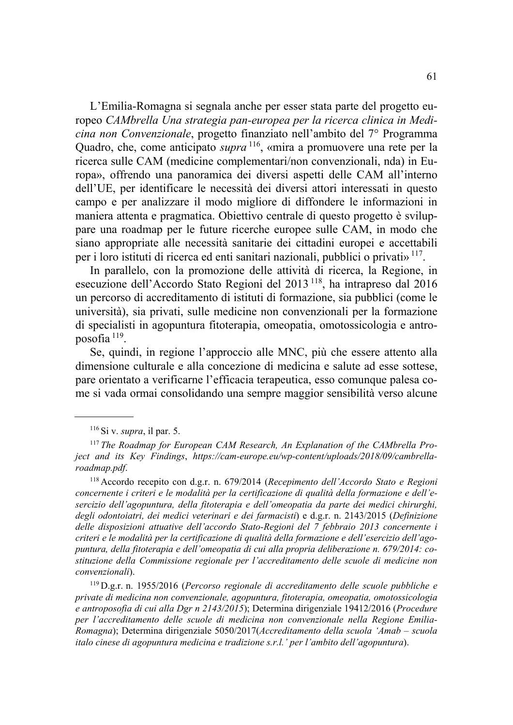L'Emilia-Romagna si segnala anche per esser stata parte del progetto europeo CAMbrella Una strategia pan-europea per la ricerca clinica in Medicina non Convenzionale, progetto finanziato nell'ambito del 7º Programma Quadro, che, come anticipato supra 116, «mira a promuovere una rete per la ricerca sulle CAM (medicine complementari/non convenzionali, nda) in Europa», offrendo una panoramica dei diversi aspetti delle CAM all'interno dell'UE, per identificare le necessità dei diversi attori interessati in questo campo e per analizzare il modo migliore di diffondere le informazioni in maniera attenta e pragmatica. Obiettivo centrale di questo progetto è sviluppare una roadmap per le future ricerche europee sulle CAM, in modo che siano appropriate alle necessità sanitarie dei cittadini europei e accettabili per i loro istituti di ricerca ed enti sanitari nazionali, pubblici o privati»<sup>117</sup>.

In parallelo, con la promozione delle attività di ricerca, la Regione, in esecuzione dell'Accordo Stato Regioni del 2013<sup>118</sup>, ha intrapreso dal 2016 un percorso di accreditamento di istituti di formazione, sia pubblici (come le università), sia privati, sulle medicine non convenzionali per la formazione di specialisti in agopuntura fitoterapia, omeopatia, omotossicologia e antroposofia<sup>119</sup>.

Se, quindi, in regione l'approccio alle MNC, più che essere attento alla dimensione culturale e alla concezione di medicina e salute ad esse sottese, pare orientato a verificarne l'efficacia terapeutica, esso comunque palesa come si vada ormai consolidando una sempre maggior sensibilità verso alcune

 $^{118}$  Accordo recepito con d.g.r. n. 679/2014 (Recepimento dell'Accordo Stato e Regioni concernente i criteri e le modalità per la certificazione di qualità della formazione e dell'esercizio dell'agopuntura, della fitoterapia e dell'omeopatia da parte dei medici chirurghi, degli odontoiatri, dei medici veterinari e dei farmacisti) e d.g.r. n. 2143/2015 (Definizione delle disposizioni attuative dell'accordo Stato-Regioni del 7 febbraio 2013 concernente i criteri e le modalità per la certificazione di qualità della formazione e dell'esercizio dell'agopuntura, della fitoterapia e dell'omeopatia di cui alla propria deliberazione n. 679/2014: costituzione della Commissione regionale per l'accreditamento delle scuole di medicine non convenzionali).

 $^{119}$ D.g.r. n. 1955/2016 (Percorso regionale di accreditamento delle scuole pubbliche e private di medicina non convenzionale, agopuntura, fitoterapia, omeopatia, omotossicologia e antroposofia di cui alla Dgr n  $2143/2015$ ; Determina dirigenziale 19412/2016 (Procedure per l'accreditamento delle scuole di medicina non convenzionale nella Regione Emilia-Romagna); Determina dirigenziale 5050/2017(Accreditamento della scuola 'Amab – scuola italo cinese di agopuntura medicina e tradizione s.r.l.' per l'ambito dell'agopuntura).

 $116$  Si v. *supra*, il par. 5.

<sup>&</sup>lt;sup>117</sup> The Roadmap for European CAM Research, An Explanation of the CAMbrella Project and its Key Findings, https://cam-europe.eu/wp-content/uploads/2018/09/cambrellaroadmap.pdf.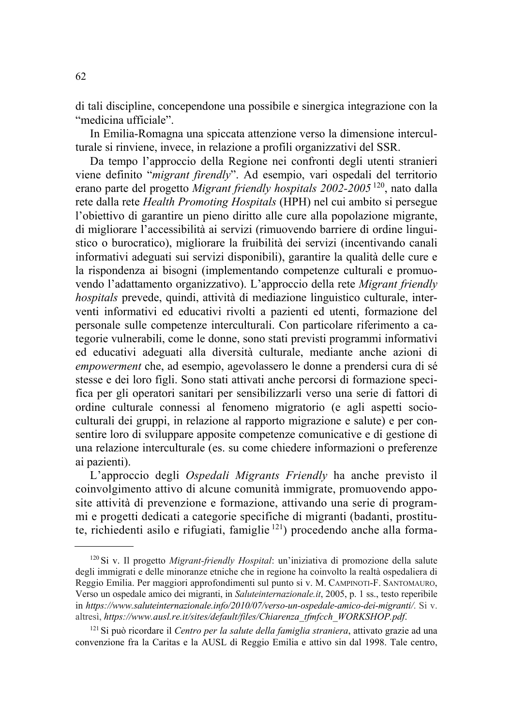di tali discipline, concependone una possibile e sinergica integrazione con la "medicina ufficiale".

In Emilia-Romagna una spiccata attenzione verso la dimensione interculturale si rinviene, invece, in relazione a profili organizzativi del SSR.

Da tempo l'approccio della Regione nei confronti degli utenti stranieri viene definito "*migrant firendly*". Ad esempio, vari ospedali del territorio erano parte del progetto Migrant friendly hospitals 2002-2005<sup>120</sup>, nato dalla rete dalla rete *Health Promoting Hospitals* (HPH) nel cui ambito si persegue l'obiettivo di garantire un pieno diritto alle cure alla popolazione migrante, di migliorare l'accessibilità ai servizi (rimuovendo barriere di ordine linguistico o burocratico), migliorare la fruibilità dei servizi (incentivando canali informativi adeguati sui servizi disponibili), garantire la qualità delle cure e la rispondenza ai bisogni (implementando competenze culturali e promuovendo l'adattamento organizzativo). L'approccio della rete Migrant friendly *hospitals* prevede, quindi, attività di mediazione linguistico culturale, interventi informativi ed educativi rivolti a pazienti ed utenti, formazione del personale sulle competenze interculturali. Con particolare riferimento a categorie vulnerabili, come le donne, sono stati previsti programmi informativi ed educativi adeguati alla diversità culturale, mediante anche azioni di *empowerment* che, ad esempio, agevolassero le donne a prendersi cura di sé stesse e dei loro figli. Sono stati attivati anche percorsi di formazione specifica per gli operatori sanitari per sensibilizzarli verso una serie di fattori di ordine culturale connessi al fenomeno migratorio (e agli aspetti socioculturali dei gruppi, in relazione al rapporto migrazione e salute) e per consentire loro di sviluppare apposite competenze comunicative e di gestione di una relazione interculturale (es. su come chiedere informazioni o preferenze ai pazienti).

L'approccio degli Ospedali Migrants Friendly ha anche previsto il coinvolgimento attivo di alcune comunità immigrate, promuovendo apposite attività di prevenzione e formazione, attivando una serie di programmi e progetti dedicati a categorie specifiche di migranti (badanti, prostitute, richiedenti asilo e rifugiati, famiglie<sup>121</sup>) procedendo anche alla forma-

 $120$  Si v. Il progetto *Migrant-friendly Hospital*: un'iniziativa di promozione della salute degli immigrati e delle minoranze etniche che in regione ha coinvolto la realtà ospedaliera di Reggio Emilia. Per maggiori approfondimenti sul punto si v. M. CAMPINOTI-F. SANTOMAURO, Verso un ospedale amico dei migranti, in *Saluteinternazionale.it*, 2005, p. 1 ss., testo reperibile in https://www.saluteinternazionale.info/2010/07/verso-un-ospedale-amico-dei-migranti/. Si v. altresì, https://www.ausl.re.it/sites/default/files/Chiarenza tfmfcch WORKSHOP.pdf.

<sup>&</sup>lt;sup>121</sup> Si può ricordare il Centro per la salute della famiglia straniera, attivato grazie ad una convenzione fra la Caritas e la AUSL di Reggio Emilia e attivo sin dal 1998. Tale centro,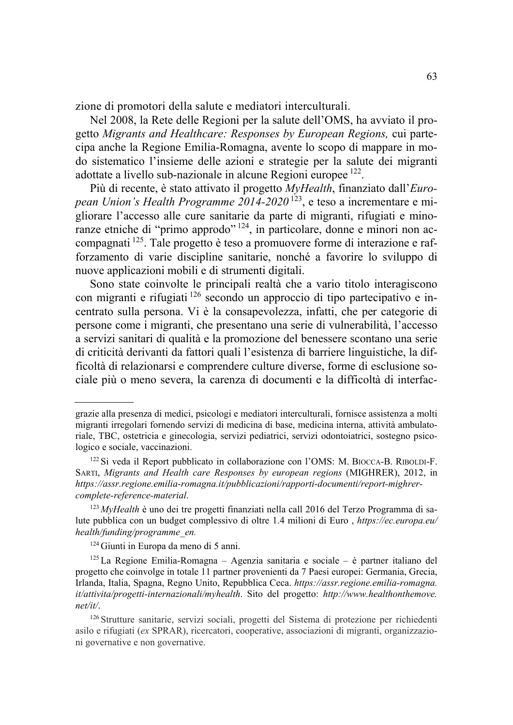zione di promotori della salute e mediatori interculturali.

Nel 2008, la Rete delle Regioni per la salute dell'OMS, ha avviato il progetto Migrants and Healthcare: Responses by European Regions, cui partecipa anche la Regione Emilia-Romagna, avente lo scopo di mappare in modo sistematico l'insieme delle azioni e strategie per la salute dei migranti adottate a livello sub-nazionale in alcune Regioni europee<sup>122</sup>.

Più di recente, è stato attivato il progetto *MyHealth*, finanziato dall'*Euro*pean Union's Health Programme  $2014-2020^{123}$ , e teso a incrementare e migliorare l'accesso alle cure sanitarie da parte di migranti, rifugiati e minoranze etniche di "primo approdo" 124, in particolare, donne e minori non accompagnati <sup>125</sup>. Tale progetto è teso a promuovere forme di interazione e rafforzamento di varie discipline sanitarie, nonché a favorire lo sviluppo di nuove applicazioni mobili e di strumenti digitali.

Sono state coinvolte le principali realtà che a vario titolo interagiscono con migranti e rifugiati <sup>126</sup> secondo un approccio di tipo partecipativo e incentrato sulla persona. Vi è la consapevolezza, infatti, che per categorie di persone come i migranti, che presentano una serie di vulnerabilità, l'accesso a servizi sanitari di qualità e la promozione del benessere scontano una serie di criticità derivanti da fattori quali l'esistenza di barriere linguistiche, la difficoltà di relazionarsi e comprendere culture diverse, forme di esclusione sociale più o meno severa, la carenza di documenti e la difficoltà di interfac-

grazie alla presenza di medici, psicologi e mediatori interculturali, fornisce assistenza a molti migranti irregolari fornendo servizi di medicina di base, medicina interna, attività ambulatoriale, TBC, ostetricia e ginecologia, servizi pediatrici, servizi odontoiatrici, sostegno psicologico e sociale, vaccinazioni.

<sup>&</sup>lt;sup>122</sup> Si veda il Report pubblicato in collaborazione con l'OMS: M. BIOCCA-B. RIBOLDI-F. SARTI, Migrants and Health care Responses by european regions (MIGHRER), 2012, in https://assr.regione.emilia-romagna.it/pubblicazioni/rapporti-documenti/report-mighrercomplete-reference-material.

<sup>&</sup>lt;sup>123</sup> MyHealth è uno dei tre progetti finanziati nella call 2016 del Terzo Programma di salute pubblica con un budget complessivo di oltre 1.4 milioni di Euro, https://ec.europa.eu/ health/funding/programme en.

<sup>&</sup>lt;sup>124</sup> Giunti in Europa da meno di 5 anni.

<sup>&</sup>lt;sup>125</sup> La Regione Emilia-Romagna – Agenzia sanitaria e sociale – è partner italiano del progetto che coinvolge in totale 11 partner provenienti da 7 Paesi europei: Germania, Grecia, Irlanda, Italia, Spagna, Regno Unito, Repubblica Ceca. https://assr.regione.emilia-romagna. it/attivita/progetti-internazionali/myhealth. Sito del progetto: http://www.healthonthemove. net/it/.

<sup>&</sup>lt;sup>126</sup> Strutture sanitarie, servizi sociali, progetti del Sistema di protezione per richiedenti asilo e rifugiati (ex SPRAR), ricercatori, cooperative, associazioni di migranti, organizzazioni governative e non governative.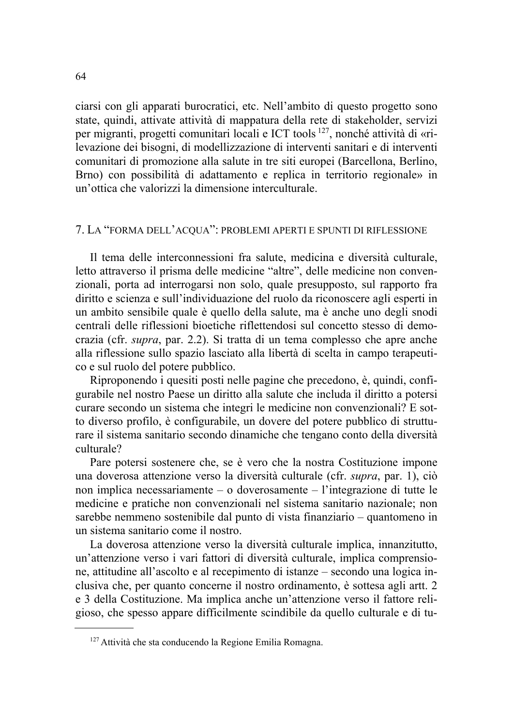ciarsi con gli apparati burocratici, etc. Nell'ambito di questo progetto sono state, quindi, attivate attività di mappatura della rete di stakeholder, servizi per migranti, progetti comunitari locali e ICT tools<sup>127</sup>, nonché attività di «rilevazione dei bisogni, di modellizzazione di interventi sanitari e di interventi comunitari di promozione alla salute in tre siti europei (Barcellona, Berlino, Brno) con possibilità di adattamento e replica in territorio regionale» in un'ottica che valorizzi la dimensione interculturale.

### 7. LA "FORMA DELL'ACQUA": PROBLEMI APERTI E SPUNTI DI RIFLESSIONE

Il tema delle interconnessioni fra salute, medicina e diversità culturale, letto attraverso il prisma delle medicine "altre", delle medicine non convenzionali, porta ad interrogarsi non solo, quale presupposto, sul rapporto fra diritto e scienza e sull'individuazione del ruolo da riconoscere agli esperti in un ambito sensibile quale è quello della salute, ma è anche uno degli snodi centrali delle riflessioni bioetiche riflettendosi sul concetto stesso di democrazia (cfr. *supra*, par. 2.2). Si tratta di un tema complesso che apre anche alla riflessione sullo spazio lasciato alla libertà di scelta in campo terapeutico e sul ruolo del potere pubblico.

Riproponendo i quesiti posti nelle pagine che precedono, è, quindi, configurabile nel nostro Paese un diritto alla salute che includa il diritto a potersi curare secondo un sistema che integri le medicine non convenzionali? E sotto diverso profilo, è configurabile, un dovere del potere pubblico di strutturare il sistema sanitario secondo dinamiche che tengano conto della diversità culturale?

Pare potersi sostenere che, se è vero che la nostra Costituzione impone una doverosa attenzione verso la diversità culturale (cfr. *supra*, par. 1), ciò non implica necessariamente – o doverosamente – l'integrazione di tutte le medicine e pratiche non convenzionali nel sistema sanitario nazionale; non sarebbe nemmeno sostenibile dal punto di vista finanziario – quantomeno in un sistema sanitario come il nostro.

La doverosa attenzione verso la diversità culturale implica, innanzitutto, un'attenzione verso i vari fattori di diversità culturale, implica comprensione, attitudine all'ascolto e al recepimento di istanze – secondo una logica inclusiva che, per quanto concerne il nostro ordinamento, è sottesa agli artt. 2 e 3 della Costituzione. Ma implica anche un'attenzione verso il fattore religioso, che spesso appare difficilmente scindibile da quello culturale e di tu-

<sup>&</sup>lt;sup>127</sup> Attività che sta conducendo la Regione Emilia Romagna.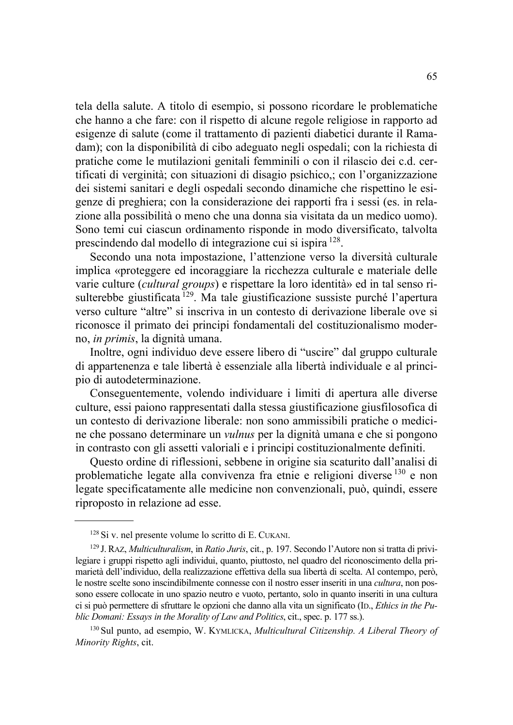tela della salute. A titolo di esempio, si possono ricordare le problematiche che hanno a che fare: con il rispetto di alcune regole religiose in rapporto ad esigenze di salute (come il trattamento di pazienti diabetici durante il Ramadam); con la disponibilità di cibo adeguato negli ospedali; con la richiesta di pratiche come le mutilazioni genitali femminili o con il rilascio dei c.d. certificati di verginità; con situazioni di disagio psichico,; con l'organizzazione dei sistemi sanitari e degli ospedali secondo dinamiche che rispettino le esigenze di preghiera; con la considerazione dei rapporti fra i sessi (es. in relazione alla possibilità o meno che una donna sia visitata da un medico uomo). Sono temi cui ciascun ordinamento risponde in modo diversificato, talvolta prescindendo dal modello di integrazione cui si ispira <sup>128</sup>.

Secondo una nota impostazione, l'attenzione verso la diversità culturale implica «proteggere ed incoraggiare la ricchezza culturale e materiale delle varie culture (*cultural groups*) e rispettare la loro identità» ed in tal senso risulterebbe giustificata <sup>129</sup>. Ma tale giustificazione sussiste purché l'apertura verso culture "altre" si inscriva in un contesto di derivazione liberale ove si riconosce il primato dei principi fondamentali del costituzionalismo moderno, in primis, la dignità umana.

Inoltre, ogni individuo deve essere libero di "uscire" dal gruppo culturale di appartenenza e tale libertà è essenziale alla libertà individuale e al principio di autodeterminazione.

Conseguentemente, volendo individuare i limiti di apertura alle diverse culture, essi paiono rappresentati dalla stessa giustificazione giusfilosofica di un contesto di derivazione liberale: non sono ammissibili pratiche o medicine che possano determinare un *vulnus* per la dignità umana e che si pongono in contrasto con gli assetti valoriali e i principi costituzionalmente definiti.

Questo ordine di riflessioni, sebbene in origine sia scaturito dall'analisi di problematiche legate alla convivenza fra etnie e religioni diverse <sup>130</sup> e non legate specificatamente alle medicine non convenzionali, può, quindi, essere riproposto in relazione ad esse.

 $128$  Si v. nel presente volume lo scritto di E. CUKANI.

<sup>&</sup>lt;sup>129</sup> J. RAZ, *Multiculturalism*, in *Ratio Juris*, cit., p. 197. Secondo l'Autore non si tratta di privilegiare i gruppi rispetto agli individui, quanto, piuttosto, nel quadro del riconoscimento della primarietà dell'individuo, della realizzazione effettiva della sua libertà di scelta. Al contempo, però, le nostre scelte sono inscindibilmente connesse con il nostro esser inseriti in una *cultura*, non possono essere collocate in uno spazio neutro e vuoto, pertanto, solo in quanto inseriti in una cultura ci si può permettere di sfruttare le opzioni che danno alla vita un significato (ID., Ethics in the Public Domani: Essays in the Morality of Law and Politics, cit., spec. p. 177 ss.).

<sup>&</sup>lt;sup>130</sup> Sul punto, ad esempio, W. KYMLICKA, *Multicultural Citizenship. A Liberal Theory of* Minority Rights, cit.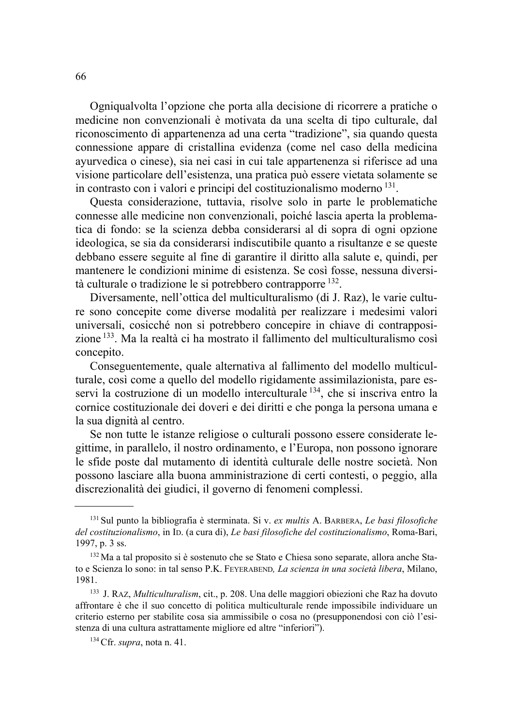Ogniqualvolta l'opzione che porta alla decisione di ricorrere a pratiche o medicine non convenzionali è motivata da una scelta di tipo culturale, dal riconoscimento di appartenenza ad una certa "tradizione", sia quando questa connessione appare di cristallina evidenza (come nel caso della medicina ayurvedica o cinese), sia nei casi in cui tale appartenenza si riferisce ad una visione particolare dell'esistenza, una pratica può essere vietata solamente se in contrasto con i valori e principi del costituzionalismo moderno <sup>131</sup>.

Questa considerazione, tuttavia, risolve solo in parte le problematiche connesse alle medicine non convenzionali, poiché lascia aperta la problematica di fondo: se la scienza debba considerarsi al di sopra di ogni opzione ideologica, se sia da considerarsi indiscutibile quanto a risultanze e se queste debbano essere seguite al fine di garantire il diritto alla salute e, quindi, per mantenere le condizioni minime di esistenza. Se così fosse, nessuna diversità culturale o tradizione le si potrebbero contrapporre <sup>132</sup>.

Diversamente, nell'ottica del multiculturalismo (di J. Raz), le varie culture sono concepite come diverse modalità per realizzare i medesimi valori universali, cosicché non si potrebbero concepire in chiave di contrapposizione <sup>133</sup>. Ma la realtà ci ha mostrato il fallimento del multiculturalismo così concepito.

Conseguentemente, quale alternativa al fallimento del modello multiculturale, così come a quello del modello rigidamente assimilazionista, pare esservi la costruzione di un modello interculturale <sup>134</sup>, che si inscriva entro la cornice costituzionale dei doveri e dei diritti e che ponga la persona umana e la sua dignità al centro.

Se non tutte le istanze religiose o culturali possono essere considerate legittime, in parallelo, il nostro ordinamento, e l'Europa, non possono ignorare le sfide poste dal mutamento di identità culturale delle nostre società. Non possono lasciare alla buona amministrazione di certi contesti, o peggio, alla discrezionalità dei giudici, il governo di fenomeni complessi.

 $^{131}$  Sul punto la bibliografía è sterminata. Si v. ex multis A. BARBERA, Le basi filosofiche del costituzionalismo, in ID. (a cura di), Le basi filosofiche del costituzionalismo, Roma-Bari, 1997, p. 3 ss.

<sup>&</sup>lt;sup>132</sup> Ma a tal proposito si è sostenuto che se Stato e Chiesa sono separate, allora anche Stato e Scienza lo sono: in tal senso P.K. FEYERABEND, La scienza in una società libera, Milano, 1981.

<sup>&</sup>lt;sup>133</sup> J. RAZ, *Multiculturalism*, cit., p. 208. Una delle maggiori obiezioni che Raz ha dovuto affrontare è che il suo concetto di politica multiculturale rende impossibile individuare un criterio esterno per stabilite cosa sia ammissibile o cosa no (presupponendosi con ciò l'esistenza di una cultura astrattamente migliore ed altre "inferiori").

 $134$  Cfr. *supra*, nota n. 41.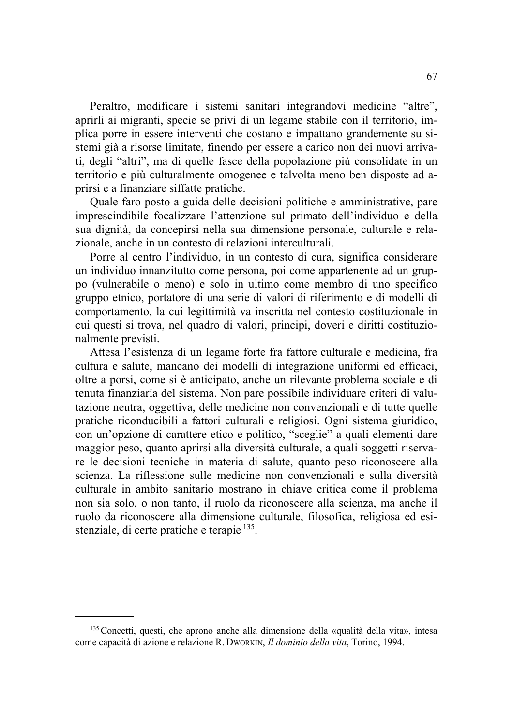Peraltro, modificare i sistemi sanitari integrandovi medicine "altre", aprirli ai migranti, specie se privi di un legame stabile con il territorio, implica porre in essere interventi che costano e impattano grandemente su sistemi già a risorse limitate, finendo per essere a carico non dei nuovi arrivati, degli "altri", ma di quelle fasce della popolazione più consolidate in un territorio e più culturalmente omogenee e talvolta meno ben disposte ad aprirsi e a finanziare siffatte pratiche.

Quale faro posto a guida delle decisioni politiche e amministrative, pare imprescindibile focalizzare l'attenzione sul primato dell'individuo e della sua dignità, da concepirsi nella sua dimensione personale, culturale e relazionale, anche in un contesto di relazioni interculturali.

Porre al centro l'individuo, in un contesto di cura, significa considerare un individuo innanzitutto come persona, poi come appartenente ad un gruppo (vulnerabile o meno) e solo in ultimo come membro di uno specifico gruppo etnico, portatore di una serie di valori di riferimento e di modelli di comportamento, la cui legittimità va inscritta nel contesto costituzionale in cui questi si trova, nel quadro di valori, principi, doveri e diritti costituzionalmente previsti.

Attesa l'esistenza di un legame forte fra fattore culturale e medicina, fra cultura e salute, mancano dei modelli di integrazione uniformi ed efficaci, oltre a porsi, come si è anticipato, anche un rilevante problema sociale e di tenuta finanziaria del sistema. Non pare possibile individuare criteri di valutazione neutra, oggettiva, delle medicine non convenzionali e di tutte quelle pratiche riconducibili a fattori culturali e religiosi. Ogni sistema giuridico, con un'opzione di carattere etico e politico, "sceglie" a quali elementi dare maggior peso, quanto aprirsi alla diversità culturale, a quali soggetti riservare le decisioni tecniche in materia di salute, quanto peso riconoscere alla scienza. La riflessione sulle medicine non convenzionali e sulla diversità culturale in ambito sanitario mostrano in chiave critica come il problema non sia solo, o non tanto, il ruolo da riconoscere alla scienza, ma anche il ruolo da riconoscere alla dimensione culturale, filosofica, religiosa ed esistenziale, di certe pratiche e terapie <sup>135</sup>.

<sup>&</sup>lt;sup>135</sup> Concetti, questi, che aprono anche alla dimensione della «qualità della vita», intesa come capacità di azione e relazione R. DWORKIN, Il dominio della vita, Torino, 1994.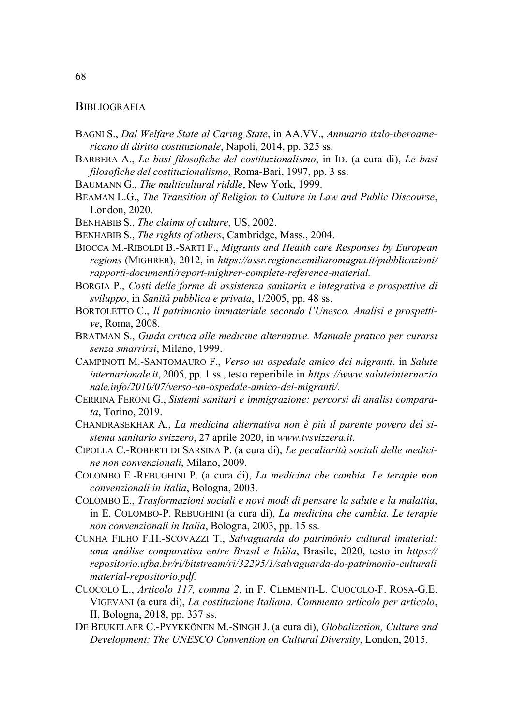#### **BIBLIOGRAFIA**

- BAGNI S., Dal Welfare State al Caring State, in AA.VV., Annuario italo-iberoamericano di diritto costituzionale, Napoli, 2014, pp. 325 ss.
- BARBERA A., Le basi filosofiche del costituzionalismo, in ID. (a cura di), Le basi filosofiche del costituzionalismo, Roma-Bari, 1997, pp. 3 ss.
- BAUMANN G., The multicultural riddle, New York, 1999.
- BEAMAN L.G., The Transition of Religion to Culture in Law and Public Discourse, London, 2020.
- BENHABIB S., The claims of culture, US, 2002.
- BENHABIB S., The rights of others, Cambridge, Mass., 2004.
- BIOCCA M.-RIBOLDI B.-SARTI F., Migrants and Health care Responses by European regions (MIGHRER), 2012, in https://assr.regione.emiliaromagna.it/pubblicazioni/ rapporti-documenti/report-mighrer-complete-reference-material.
- BORGIA P., Costi delle forme di assistenza sanitaria e integrativa e prospettive di sviluppo, in Sanità pubblica e privata, 1/2005, pp. 48 ss.
- BORTOLETTO C., Il patrimonio immateriale secondo l'Unesco. Analisi e prospettive, Roma, 2008.
- BRATMAN S., Guida critica alle medicine alternative. Manuale pratico per curarsi senza smarrirsi, Milano, 1999.
- CAMPINOTI M.-SANTOMAURO F., Verso un ospedale amico dei migranti, in Salute internazionale.it, 2005, pp. 1 ss., testo reperibile in https://www.saluteinternazio nale.info/2010/07/verso-un-ospedale-amico-dei-migranti/.
- CERRINA FERONI G., Sistemi sanitari e immigrazione: percorsi di analisi comparata, Torino, 2019.
- CHANDRASEKHAR A., La medicina alternativa non è più il parente povero del sistema sanitario svizzero, 27 aprile 2020, in www.tvsvizzera.it.
- CIPOLLA C.-ROBERTI DI SARSINA P. (a cura di), Le peculiarità sociali delle medicine non convenzionali, Milano, 2009.
- COLOMBO E.-REBUGHINI P. (a cura di), La medicina che cambia. Le terapie non convenzionali in Italia, Bologna, 2003.
- COLOMBO E., Trasformazioni sociali e novi modi di pensare la salute e la malattia, in E. COLOMBO-P. REBUGHINI (a cura di), La medicina che cambia. Le terapie non convenzionali in Italia, Bologna, 2003, pp. 15 ss.
- CUNHA FILHO F.H.-SCOVAZZI T., Salvaguarda do patrimônio cultural imaterial: uma análise comparativa entre Brasil e Itália, Brasile, 2020, testo in https:// repositorio.ufba.br/ri/bitstream/ri/32295/1/salvaguarda-do-patrimonio-culturali material-repositorio.pdf.
- CUOCOLO L., Articolo 117, comma 2, in F. CLEMENTI-L. CUOCOLO-F. ROSA-G.E. VIGEVANI (a cura di), La costituzione Italiana. Commento articolo per articolo, II, Bologna, 2018, pp. 337 ss.
- DE BEUKELAER C.-PYYKKÖNEN M.-SINGH J. (a cura di), Globalization, Culture and Development: The UNESCO Convention on Cultural Diversity, London, 2015.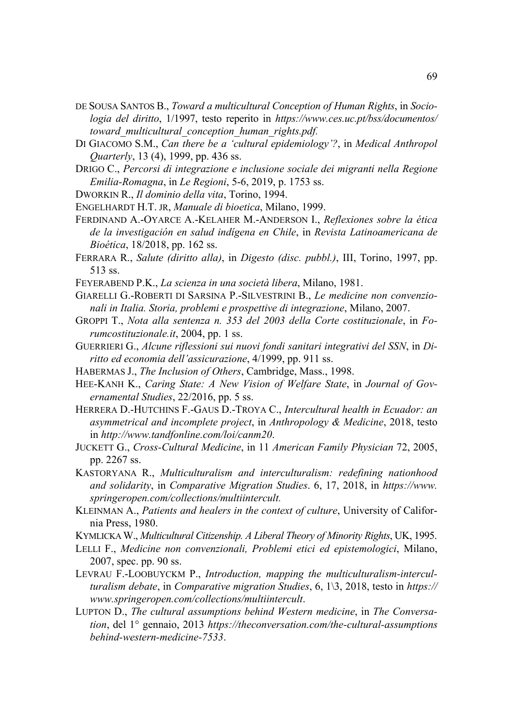- DE SOUSA SANTOS B., Toward a multicultural Conception of Human Rights, in Sociologia del diritto, 1/1997, testo reperito in https://www.ces.uc.pt/bss/documentos/ toward multicultural conception human rights.pdf.
- DI GIACOMO S.M., Can there be a 'cultural epidemiology'?, in Medical Anthropol *Ouarterly*, 13 (4), 1999, pp. 436 ss.
- DRIGO C., Percorsi di integrazione e inclusione sociale dei migranti nella Regione Emilia-Romagna, in Le Regioni, 5-6, 2019, p. 1753 ss.
- DWORKIN R., Il dominio della vita, Torino, 1994.
- ENGELHARDT H.T. JR, Manuale di bioetica, Milano, 1999.
- FERDINAND A.-OYARCE A.-KELAHER M.-ANDERSON I., Reflexiones sobre la ética de la investigación en salud indígena en Chile, in Revista Latinoamericana de *Bioética*, 18/2018, pp. 162 ss.
- FERRARA R., Salute (diritto alla), in Digesto (disc. pubbl.), III, Torino, 1997, pp. 513 ss.
- FEYERABEND P.K., La scienza in una società libera, Milano, 1981.
- GIARELLI G.-ROBERTI DI SARSINA P.-SILVESTRINI B., Le medicine non convenzionali in Italia. Storia, problemi e prospettive di integrazione, Milano, 2007.
- GROPPI T., Nota alla sentenza n. 353 del 2003 della Corte costituzionale, in Forumcostituzionale.it, 2004, pp. 1 ss.
- GUERRIERI G., Alcune riflessioni sui nuovi fondi sanitari integrativi del SSN, in Diritto ed economia dell'assicurazione, 4/1999, pp. 911 ss.
- HABERMAS J., The Inclusion of Others, Cambridge, Mass., 1998.
- HEE-KANH K., Caring State: A New Vision of Welfare State, in Journal of Governamental Studies, 22/2016, pp. 5 ss.
- HERRERA D.-HUTCHINS F.-GAUS D.-TROYA C., Intercultural health in Ecuador: an asymmetrical and incomplete project, in Anthropology & Medicine, 2018, testo in http://www.tandfonline.com/loi/canm20.
- JUCKETT G., Cross-Cultural Medicine, in 11 American Family Physician 72, 2005, pp. 2267 ss.
- KASTORYANA R., Multiculturalism and interculturalism: redefining nationhood and solidarity, in Comparative Migration Studies. 6, 17, 2018, in https://www. springeropen.com/collections/multiintercult.
- KLEINMAN A., Patients and healers in the context of culture, University of California Press, 1980.
- KYMLICKA W., Multicultural Citizenship. A Liberal Theory of Minority Rights, UK, 1995.
- LELLI F., Medicine non convenzionali, Problemi etici ed epistemologici, Milano, 2007, spec. pp. 90 ss.
- LEVRAU F.-LOOBUYCKM P., Introduction, mapping the multiculturalism-interculturalism debate, in Comparative migration Studies, 6,  $1\backslash3$ , 2018, testo in https:// www.springeropen.com/collections/multiintercult.
- LUPTON D., The cultural assumptions behind Western medicine, in The Conversation, del  $1^\circ$  gennaio, 2013 https://theconversation.com/the-cultural-assumptions hehind-western-medicine-7533.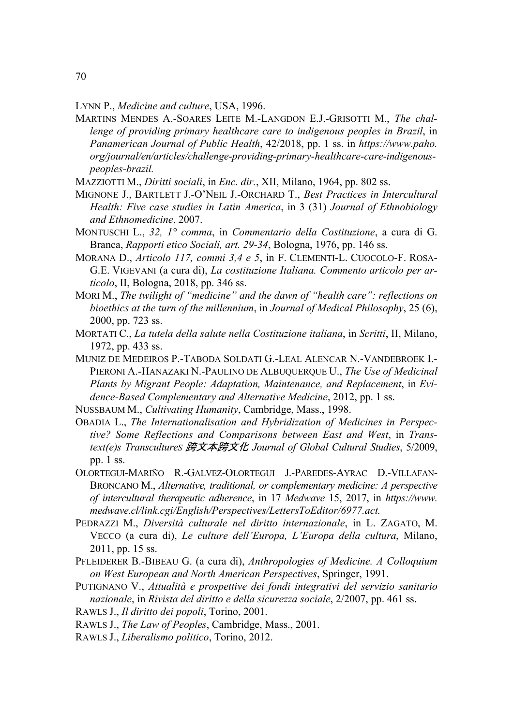- LYNN P., Medicine and culture, USA, 1996.
- MARTINS MENDES A.-SOARES LEITE M.-LANGDON E.J.-GRISOTTI M., The challenge of providing primary healthcare care to indigenous peoples in Brazil, in Panamerican Journal of Public Health, 42/2018, pp. 1 ss. in https://www.paho. org/journal/en/articles/challenge-providing-primary-healthcare-care-indigenouspeoples-brazil.
- MAZZIOTTI M., Diritti sociali, in Enc. dir., XII, Milano, 1964, pp. 802 ss.
- MIGNONE J., BARTLETT J.-O'NEIL J.-ORCHARD T., Best Practices in Intercultural Health: Five case studies in Latin America, in 3 (31) Journal of Ethnobiology and Ethnomedicine, 2007.
- MONTUSCHI L., 32, 1º comma, in Commentario della Costituzione, a cura di G. Branca, Rapporti etico Sociali, art. 29-34, Bologna, 1976, pp. 146 ss.
- MORANA D., Articolo 117, commi 3,4 e 5, in F. CLEMENTI-L. CUOCOLO-F. ROSA-G.E. VIGEVANI (a cura di), La costituzione Italiana. Commento articolo per ar*ticolo*, II, Bologna, 2018, pp. 346 ss.
- MORI M., The twilight of "medicine" and the dawn of "health care": reflections on bioethics at the turn of the millennium, in Journal of Medical Philosophy, 25 (6), 2000, pp. 723 ss.
- MORTATI C., La tutela della salute nella Costituzione italiana, in Scritti, II, Milano, 1972, pp. 433 ss.
- MUNIZ DE MEDEIROS P.-TABODA SOLDATI G.-LEAL ALENCAR N.-VANDEBROEK I.-PIERONI A.-HANAZAKI N.-PAULINO DE ALBUQUERQUE U., The Use of Medicinal Plants by Migrant People: Adaptation, Maintenance, and Replacement, in Evidence-Based Complementary and Alternative Medicine, 2012, pp. 1 ss.
- NUSSBAUM M., Cultivating Humanity, Cambridge, Mass., 1998.
- OBADIA L., The Internationalisation and Hybridization of Medicines in Perspective? Some Reflections and Comparisons between East and West, in Transtext(e)s Transcultures 跨文本跨文化 Journal of Global Cultural Studies, 5/2009, pp. 1 ss.
- OLORTEGUI-MARIÑO R.-GALVEZ-OLORTEGUI J.-PAREDES-AYRAC D.-VILLAFAN-BRONCANO M., Alternative, traditional, or complementary medicine: A perspective of intercultural therapeutic adherence, in 17 Medwave 15, 2017, in https://www. medwave.cl/link.cgi/English/Perspectives/LettersToEditor/6977.act.
- PEDRAZZI M., Diversità culturale nel diritto internazionale, in L. ZAGATO, M. VECCO (a cura di), Le culture dell'Europa, L'Europa della cultura, Milano, 2011, pp. 15 ss.
- PFLEIDERER B.-BIBEAU G. (a cura di), Anthropologies of Medicine. A Colloquium on West European and North American Perspectives, Springer, 1991.
- PUTIGNANO V., Attualità e prospettive dei fondi integrativi del servizio sanitario nazionale, in Rivista del diritto e della sicurezza sociale, 2/2007, pp. 461 ss.
- RAWLS J., Il diritto dei popoli, Torino, 2001.
- RAWLS J., The Law of Peoples, Cambridge, Mass., 2001.
- RAWLS J., Liberalismo politico, Torino, 2012.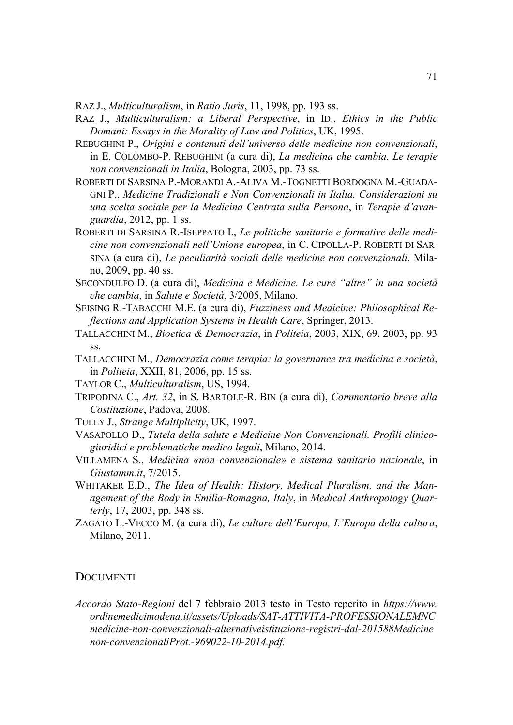RAZ J., *Multiculturalism*, in *Ratio Juris*, 11, 1998, pp. 193 ss.

- $R\overline{A}Z$  J., *Multiculturalism: a Liberal Perspective*, in ID., *Ethics in the Public Domani: Essays in the Morality of Law and Politics*, UK, 1995.
- REBUGHINI P., Origini e contenuti dell'universo delle medicine non convenzionali, in E. COLOMBO-P. REBUGHINI (a cura di), La medicina che cambia. Le terapie *non convenzionali in Italia*, Bologna, 2003, pp. 73 ss.
- ROBERTI DI SARSINA P.-MORANDI A.-ALIVA M.-TOGNETTI BORDOGNA M.-GUADA-\*1,3*Medicine Tradizionali e Non Convenzionali in Italia. Considerazioni su*  una scelta sociale per la Medicina Centrata sulla Persona, in Terapie d'avan*guardia*, 2012, pp. 1 ss.
- ROBERTI DI SARSINA R.-ISEPPATO I., Le politiche sanitarie e formative delle medi*cine non convenzionali nell'Unione europea*, in C. CIPOLLA-P. ROBERTI DI SARsina (a cura di), Le peculiarità sociali delle medicine non convenzionali, Milano, 2009, pp. 40 ss.
- SECONDULFO D. (a cura di), Medicina e Medicine. Le cure "altre" in una società *che cambia*, in Salute e Società, 3/2005, Milano.
- SEISING R.-TABACCHI M.E. (a cura di), *Fuzziness and Medicine: Philosophical Reflections and Application Systems in Health Care, Springer, 2013.*
- TALLACCHINI M., *Bioetica & Democrazia*, in *Politeia*, 2003, XIX, 69, 2003, pp. 93 SS.
- TALLACCHINI M., *Democrazia come terapia: la governance tra medicina e società*, in Politeia, XXII, 81, 2006, pp. 15 ss.
- TAYLOR C., *Multiculturalism*, US, 1994.
- TRIPODINA C., Art. 32, in S. BARTOLE-R. BIN (a cura di), Commentario breve alla Costituzione, Padova, 2008.
- TULLY J., Strange Multiplicity, UK, 1997.
- VASAPOLLO D., Tutela della salute e Medicine Non Convenzionali. Profili clinicogiuridici e problematiche medico legali, Milano, 2014.
- VILLAMENA S., Medicina «non convenzionale» e sistema sanitario nazionale, in *Giustamm.it*
- WHITAKER E.D., The Idea of Health: History, Medical Pluralism, and the Management of the Body in Emilia-Romagna, Italy, in Medical Anthropology Quar*terly*, 17, 2003, pp. 348 ss.
- ZAGATO L.-VECCO M. (a cura di), Le culture dell'Europa, L'Europa della cultura, Milano, 2011.

#### DOCUMENTI

*Accordo Stato-Regioni del 7 febbraio 2013 testo in Testo reperito in https://www. ordinemedicimodena.it/assets/Uploads/SAT-ATTIVITA-PROFESSIONALEMNC medicine-non-convenzionali-alternativeistituzione-registri-dal-201588Medicine non-convenzionaliProt.-969022-10-2014.pdf.*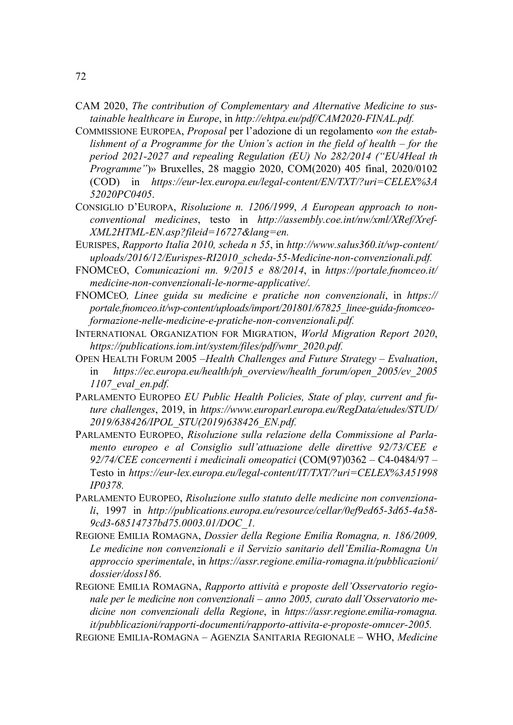- CAM 2020, The contribution of Complementary and Alternative Medicine to sustainable healthcare in Europe, in http://ehtpa.eu/pdf/CAM2020-FINAL.pdf.
- COMMISSIONE EUROPEA, *Proposal* per l'adozione di un regolamento «on the establishment of a Programme for the Union's action in the field of health  $-$  for the period 2021-2027 and repealing Regulation (EU) No 282/2014 ("EU4Heal th *Programme*")» Bruxelles, 28 maggio 2020, COM(2020) 405 final, 2020/0102 (COD) in https://eur-lex.europa.eu/legal-content/EN/TXT/?uri=CELEX%3A 52020PC0405.
- CONSIGLIO D'EUROPA, Risoluzione n. 1206/1999, A European approach to nonconventional medicines, testo in http://assembly.coe.int/nw/xml/XRef/Xref-XML2HTML-EN.asp?fileid=16727&lang=en.
- EURISPES, Rapporto Italia 2010, scheda n 55, in http://www.salus360.it/wp-content/ uploads/2016/12/Eurispes-RI2010 scheda-55-Medicine-non-convenzionali.pdf.
- FNOMCEO, Comunicazioni nn. 9/2015 e 88/2014, in https://portale.fnomceo.it/ medicine-non-convenzionali-le-norme-applicative/.
- FNOMCEO, Linee guida su medicine e pratiche non convenzionali, in https:// portale.fnomceo.it/wp-content/uploads/import/201801/67825 linee-guida-fnomceoformazione-nelle-medicine-e-pratiche-non-convenzionali.pdf.
- INTERNATIONAL ORGANIZATION FOR MIGRATION, World Migration Report 2020, https://publications.iom.int/system/files/pdf/wmr 2020.pdf.
- OPEN HEALTH FORUM 2005 -Health Challenges and Future Strategy Evaluation,  $in$ https://ec.europa.eu/health/ph overview/health forum/open 2005/ev 2005 1107 eval en.pdf.
- PARLAMENTO EUROPEO EU Public Health Policies, State of play, current and future challenges, 2019, in https://www.europarl.europa.eu/RegData/etudes/STUD/ 2019/638426/IPOL STU(2019)638426 EN.pdf.
- PARLAMENTO EUROPEO, Risoluzione sulla relazione della Commissione al Parlamento europeo e al Consiglio sull'attuazione delle direttive 92/73/CEE e 92/74/CEE concernenti i medicinali omeopatici  $(COM(97)0362 - C4-0484/97 -$ Testo in https://eur-lex.europa.eu/legal-content/IT/TXT/?uri=CELEX%3A51998 IP0378.
- PARLAMENTO EUROPEO, Risoluzione sullo statuto delle medicine non convenzionali, 1997 in http://publications.europa.eu/resource/cellar/0ef9ed65-3d65-4a58-9cd3-68514737bd75.0003.01/DOC 1.
- REGIONE EMILIA ROMAGNA, Dossier della Regione Emilia Romagna, n. 186/2009, Le medicine non convenzionali e il Servizio sanitario dell'Emilia-Romagna Un approccio sperimentale, in https://assr.regione.emilia-romagna.it/pubblicazioni/  $dossier/doss186$
- REGIONE EMILIA ROMAGNA, Rapporto attività e proposte dell'Osservatorio regionale per le medicine non convenzionali – anno 2005, curato dall'Osservatorio medicine non convenzionali della Regione, in https://assr.regione.emilia-romagna. it/pubblicazioni/rapporti-documenti/rapporto-attivita-e-proposte-omncer-2005.
- REGIONE EMILIA-ROMAGNA AGENZIA SANITARIA REGIONALE WHO, Medicine